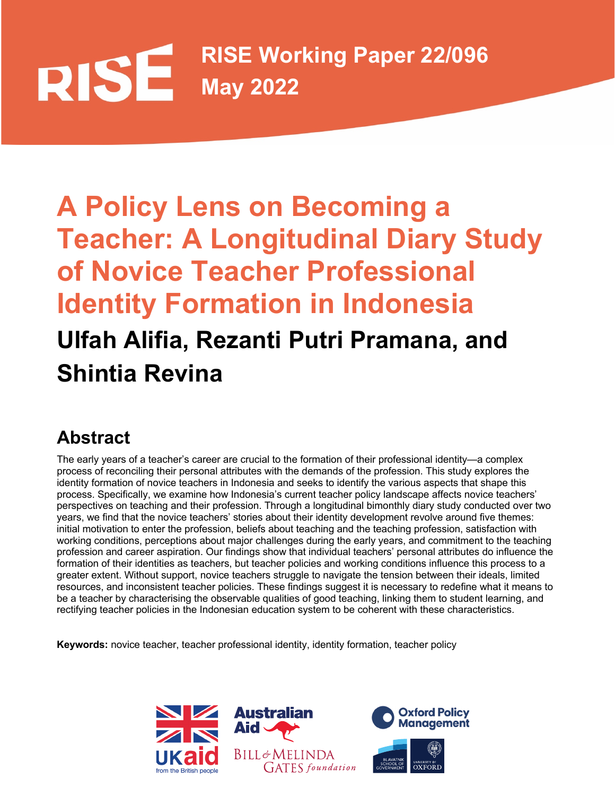# **RISE Working Paper 22/096 RISE May 2022**

# **A Policy Lens on Becoming a Teacher: A Longitudinal Diary Study of Novice Teacher Professional Identity Formation in Indonesia Ulfah Alifia, Rezanti Putri Pramana, and Shintia Revina**

# **Abstract**

 The early years of a teacher's career are crucial to the formation of their professional identity—a complex process of reconciling their personal attributes with the demands of the profession. This study explores the identity formation of novice teachers in Indonesia and seeks to identify the various aspects that shape this process. Specifically, we examine how Indonesia's current teacher policy landscape affects novice teachers' perspectives on teaching and their profession. Through a longitudinal bimonthly diary study conducted over two years, we find that the novice teachers' stories about their identity development revolve around five themes: initial motivation to enter the profession, beliefs about teaching and the teaching profession, satisfaction with working conditions, perceptions about major challenges during the early years, and commitment to the teaching profession and career aspiration. Our findings show that individual teachers' personal attributes do influence the formation of their identities as teachers, but teacher policies and working conditions influence this process to a greater extent. Without support, novice teachers struggle to navigate the tension between their ideals, limited resources, and inconsistent teacher policies. These findings suggest it is necessary to redefine what it means to be a teacher by characterising the observable qualities of good teaching, linking them to student learning, and rectifying teacher policies in the Indonesian education system to be coherent with these characteristics.

**Keywords:** novice teacher, teacher professional identity, identity formation, teacher policy

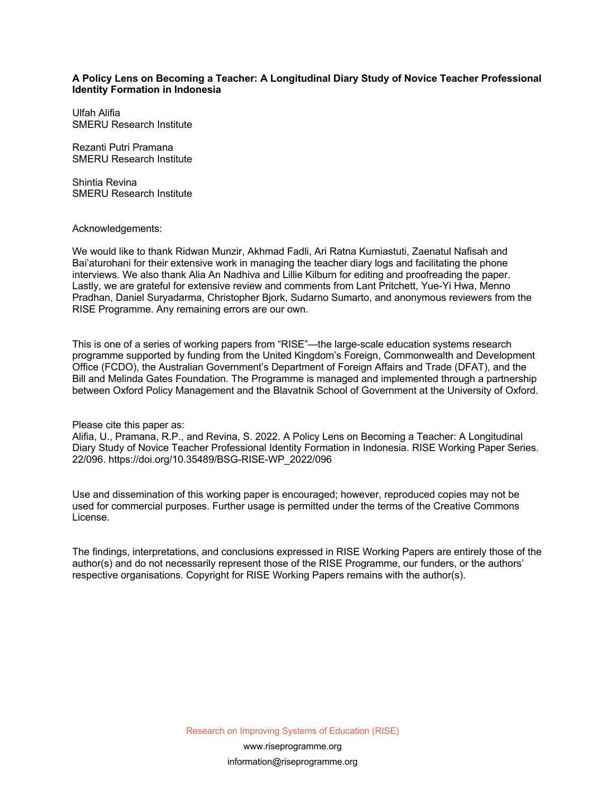#### **A Policy Lens on Becoming a Teacher: A Longitudinal Diary Study of Novice Teacher Professional Identity Formation in Indonesia**

Ulfah Alifia SMERU Research Institute

 Rezanti Putri Pramana SMERU Research Institute

Shintia Revina SMERU Research Institute

#### Acknowledgements:

 We would like to thank Ridwan Munzir, Akhmad Fadli, Ari Ratna Kurniastuti, Zaenatul Nafisah and Bai'aturohani for their extensive work in managing the teacher diary logs and facilitating the phone interviews. We also thank Alia An Nadhiva and Lillie Kilburn for editing and proofreading the paper. Lastly, we are grateful for extensive review and comments from Lant Pritchett, Yue-Yi Hwa, Menno Pradhan, Daniel Suryadarma, Christopher Bjork, Sudarno Sumarto, and anonymous reviewers from the RISE Programme. Any remaining errors are our own.

 This is one of a series of working papers from "RISE"—the large-scale education systems research programme supported by funding from the United Kingdom's Foreign, Commonwealth and Development Office (FCDO), the Australian Government's Department of Foreign Affairs and Trade (DFAT), and the Bill and Melinda Gates Foundation. The Programme is managed and implemented through a partnership between Oxford Policy Management and the Blavatnik School of Government at the University of Oxford.

Please cite this paper as:

 Alifia, U., Pramana, R.P., and Revina, S. 2022. A Policy Lens on Becoming a Teacher: A Longitudinal Diary Study of Novice Teacher Professional Identity Formation in Indonesia. RISE Working Paper Series. 22/096. [https://doi.org/10.35489/BSG-RISE-WP\\_2022/096](https://doi.org/10.35489/BSG-RISE-WP_2022/096)

 Use and dissemination of this working paper is encouraged; however, reproduced copies may not be used for commercial purposes. Further usage is permitted under the terms of the Creative Commons License.

 The findings, interpretations, and conclusions expressed in RISE Working Papers are entirely those of the author(s) and do not necessarily represent those of the RISE Programme, our funders, or the authors' respective organisations. Copyright for RISE Working Papers remains with the author(s).

Research on Improving Systems of Education (RISE)

<www.riseprogramme.org> [information@riseprogramme.org](mailto:information@riseprogramme.org)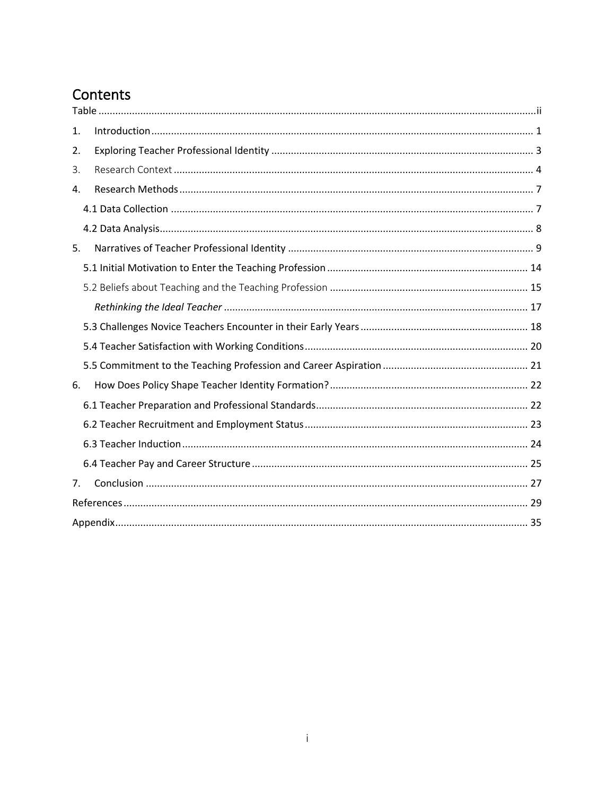# Contents

| 1. |  |
|----|--|
| 2. |  |
| 3. |  |
| 4. |  |
|    |  |
|    |  |
| 5. |  |
|    |  |
|    |  |
|    |  |
|    |  |
|    |  |
|    |  |
| 6. |  |
|    |  |
|    |  |
|    |  |
|    |  |
| 7. |  |
|    |  |
|    |  |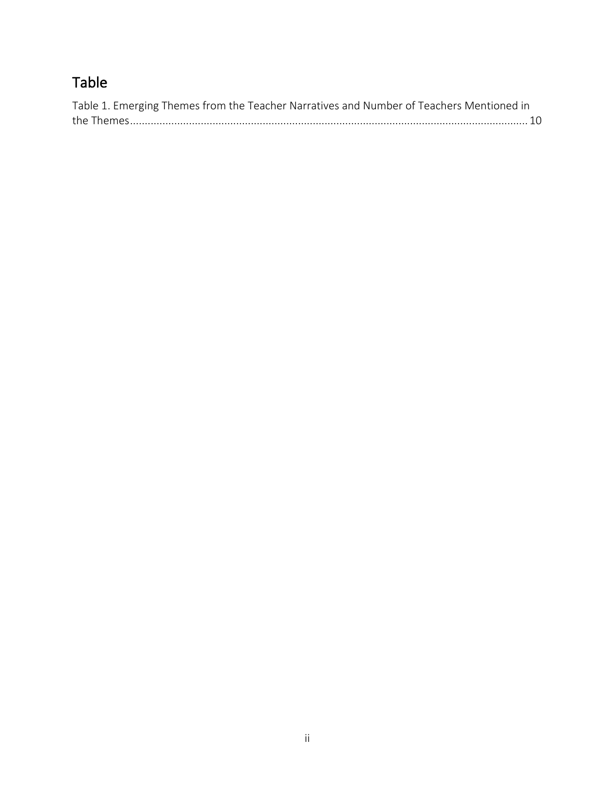# <span id="page-3-1"></span><span id="page-3-0"></span>[Table](#page-38-0)

| Table 1. Emerging Themes from the Teacher Narratives and Number of Teachers Mentioned in |
|------------------------------------------------------------------------------------------|
|                                                                                          |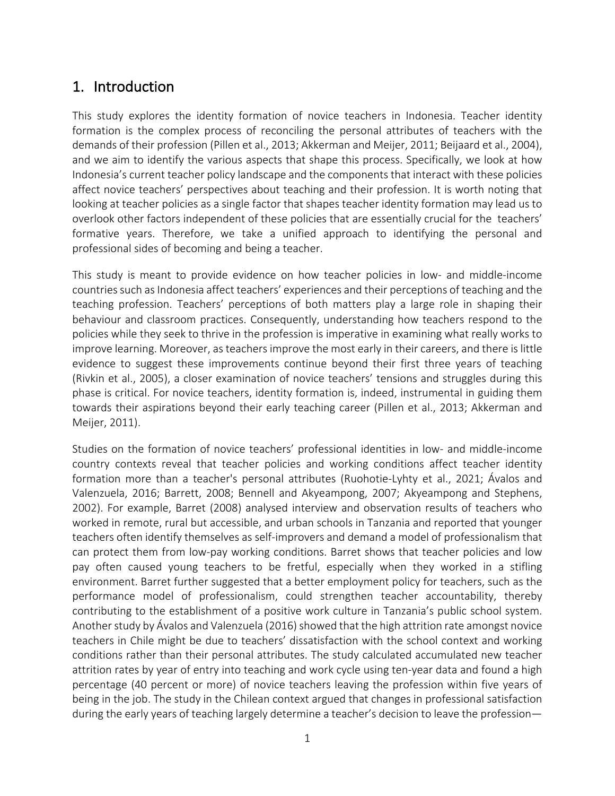# <span id="page-4-0"></span>1. [Introduction](#page-13-1)

 [This study explores the identity formation of novice teachers in Indonesia. Teacher](#page-13-1) identity formation is the complex process of reconciling the personal attributes of teachers with the demands of their profession (Pillen et al., 2013; Akkerman and Meijer, 2011; Beijaard et al., 2004), and we aim to identify the various aspects that shape this process. Specifically, we look at how Indonesia's current teacher policy landscape and the components that interact with these policies looking at teacher policies as a single factor that shapes teacher identity formation may lead us to overlook other factors independent of these policies that are essentially crucial for the teachers' formative years. Therefore, we take a unified approach to identifying the personal and professional sides of becoming and being a teacher. affect novice teachers' perspectives about teaching and their profession. It is worth noting that

 This study is meant to provide evidence on how teacher policies in low- and middle-income countries such as Indonesia affect teachers' experiences and their perceptions of teaching and the teaching profession. Teachers' perceptions of both matters play a large role in shaping their behaviour and classroom practices. Consequently, understanding how teachers respond to the policies while they seek to thrive in the profession is imperative in examining what really works to improve learning. Moreover, as teachers improve the most early in their careers, and there is little (Rivkin et al., 2005), a closer examination of novice teachers' tensions and struggles during this phase is critical. For novice teachers, identity formation is, indeed, instrumental in guiding them towards their aspirations beyond their early teaching career (Pillen et al., 2013; Akkerman and Meijer, 2011). evidence to suggest these improvements continue beyond their first three years of teaching

 Studies on the formation of novice teachers' professional identities in low- and middle-income formation more than a teacher's personal attributes (Ruohotie-Lyhty et al., 2021; Ávalos and Valenzuela, 2016; Barrett, 2008; Bennell and Akyeampong, 2007; Akyeampong and Stephens, 2002). For example, Barret (2008) analysed interview and observation results of teachers who worked in remote, rural but accessible, and urban schools in Tanzania and reported that younger teachers often identify themselves as self-improvers and demand a model of professionalism that can protect them from low-pay working conditions. Barret shows that teacher policies and low pay often caused young teachers to be fretful, especially when they worked in a stifling environment. Barret further suggested that a better employment policy for teachers, such as the performance model of professionalism, could strengthen teacher accountability, thereby contributing to the establishment of a positive work culture in Tanzania's public school system. Another study by Ávalos and Valenzuela (2016) showed that the high attrition rate amongst novice teachers in Chile might be due to teachers' dissatisfaction with the school context and working conditions rather than their personal attributes. The study calculated accumulated new teacher percentage (40 percent or more) of novice teachers leaving the profession within five years of being in the job. The study in the Chilean context argued that changes in professional satisfaction during the early years of teaching largely determine a teacher's decision to leave the profession country contexts reveal that teacher policies and working conditions affect teacher identity attrition rates by year of entry into teaching and work cycle using ten-year data and found a high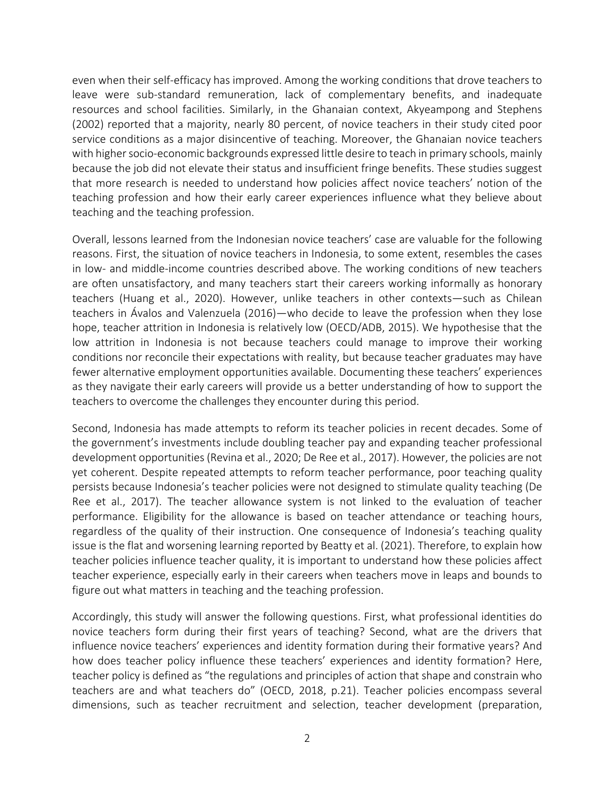even when their self-efficacy has improved. Among the working conditions that drove teachers to leave were sub-standard remuneration, lack of complementary benefits, and inadequate resources and school facilities. Similarly, in the Ghanaian context, Akyeampong and Stephens (2002) reported that a majority, nearly 80 percent, of novice teachers in their study cited poor service conditions as a major disincentive of teaching. Moreover, the Ghanaian novice teachers with higher socio-economic backgrounds expressed little desire to teach in primary schools, mainly because the job did not elevate their status and insufficient fringe benefits. These studies suggest that more research is needed to understand how policies affect novice teachers' notion of the teaching profession and how their early career experiences influence what they believe about teaching and the teaching profession.

 Overall, lessons learned from the Indonesian novice teachers' case are valuable for the following reasons. First, the situation of novice teachers in Indonesia, to some extent, resembles the cases in low- and middle-income countries described above. The working conditions of new teachers are often unsatisfactory, and many teachers start their careers working informally as honorary teachers (Huang et al., 2020). However, unlike teachers in other contexts—such as Chilean teachers in Ávalos and Valenzuela (2016)—who decide to leave the profession when they lose low attrition in Indonesia is not because teachers could manage to improve their working conditions nor reconcile their expectations with reality, but because teacher graduates may have fewer alternative employment opportunities available. Documenting these teachers' experiences teachers to overcome the challenges they encounter during this period. hope, teacher attrition in Indonesia is relatively low (OECD/ADB, 2015). We hypothesise that the as they navigate their early careers will provide us a better understanding of how to support the

 Second, Indonesia has made attempts to reform its teacher policies in recent decades. Some of the government's investments include doubling teacher pay and expanding teacher professional development opportunities (Revina et al., 2020; De Ree et al., 2017). However, the policies are not yet coherent. Despite repeated attempts to reform teacher performance, poor teaching quality persists because Indonesia's teacher policies were not designed to stimulate quality teaching (De Ree et al., 2017). The teacher allowance system is not linked to the evaluation of teacher regardless of the quality of their instruction. One consequence of Indonesia's teaching quality issue is the flat and worsening learning reported by Beatty et al. (2021). Therefore, to explain how teacher policies influence teacher quality, it is important to understand how these policies affect teacher experience, especially early in their careers when teachers move in leaps and bounds to figure out what matters in teaching and the teaching profession. performance. Eligibility for the allowance is based on teacher attendance or teaching hours,

 Accordingly, this study will answer the following questions. First, what professional identities do novice teachers form during their first years of teaching? Second, what are the drivers that influence novice teachers' experiences and identity formation during their formative years? And teachers are and what teachers do" (OECD, 2018, p.21). Teacher policies encompass several dimensions, such as teacher recruitment and selection, teacher development (preparation, how does teacher policy influence these teachers' experiences and identity formation? Here, teacher policy is defined as "the regulations and principles of action that shape and constrain who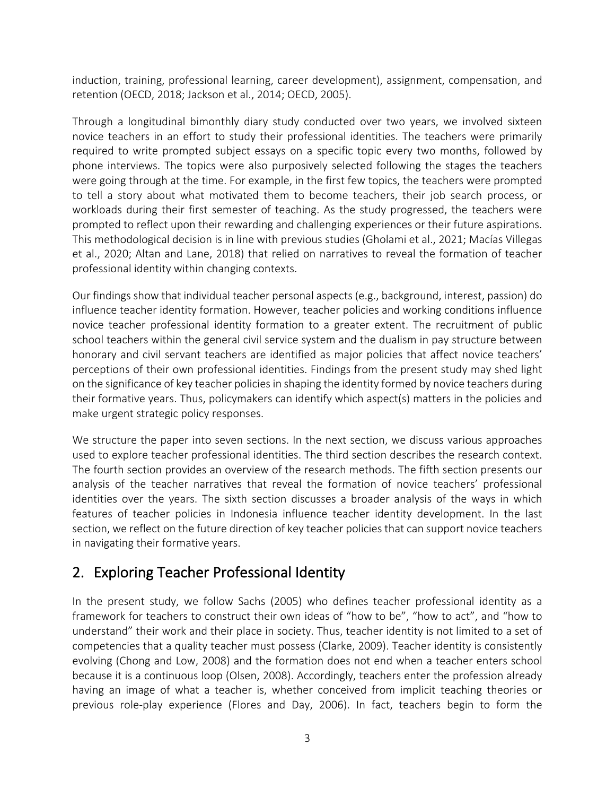induction, training, professional learning, career development), assignment, compensation, and retention (OECD, 2018; Jackson et al., 2014; OECD, 2005).

 Through a longitudinal bimonthly diary study conducted over two years, we involved sixteen novice teachers in an effort to study their professional identities. The teachers were primarily required to write prompted subject essays on a specific topic every two months, followed by phone interviews. The topics were also purposively selected following the stages the teachers were going through at the time. For example, in the first few topics, the teachers were prompted to tell a story about what motivated them to become teachers, their job search process, or prompted to reflect upon their rewarding and challenging experiences or their future aspirations. This methodological decision is in line with previous studies (Gholami et al., 2021; Macías Villegas et al., 2020; Altan and Lane, 2018) that relied on narratives to reveal the formation of teacher professional identity within changing contexts. workloads during their first semester of teaching. As the study progressed, the teachers were

professional identity within changing contexts.<br>Our findings show that individual teacher personal aspects (e.g., background, interest, passion) do novice teacher professional identity formation to a greater extent. The recruitment of public school teachers within the general civil service system and the dualism in pay structure between honorary and civil servant teachers are identified as major policies that affect novice teachers' perceptions of their own professional identities. Findings from the present study may shed light on the significance of key teacher policies in shaping the identity formed by novice teachers during their formative years. Thus, policymakers can identify which aspect(s) matters in the policies and make urgent strategic policy responses. influence teacher identity formation. However, teacher policies and working conditions influence

 used to explore teacher professional identities. The third section describes the research context. analysis of the teacher narratives that reveal the formation of novice teachers' professional identities over the years. The sixth section discusses a broader analysis of the ways in which features of teacher policies in Indonesia influence teacher identity development. In the last in navigating their formative years. We structure the paper into seven sections. In the next section, we discuss various approaches The fourth section provides an overview of the research methods. The fifth section presents our section, we reflect on the future direction of key teacher policies that can support novice teachers

## <span id="page-6-0"></span>2. Exploring Teacher Professional Identity

 In the present study, we follow Sachs (2005) who defines teacher professional identity as a framework for teachers to construct their own ideas of "how to be", "how to act", and "how to understand" their work and their place in society. Thus, teacher identity is not limited to a set of competencies that a quality teacher must possess (Clarke, 2009). Teacher identity is consistently because it is a continuous loop (Olsen, 2008). Accordingly, teachers enter the profession already having an image of what a teacher is, whether conceived from implicit teaching theories or previous role-play experience (Flores and Day, 2006). In fact, teachers begin to form the evolving (Chong and Low, 2008) and the formation does not end when a teacher enters school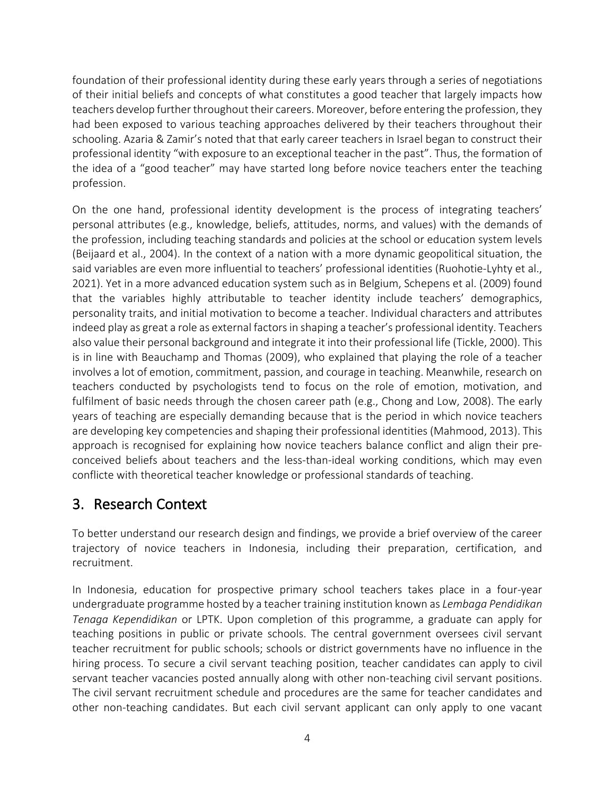of their initial beliefs and concepts of what constitutes a good teacher that largely impacts how schooling. Azaria & Zamir's noted that that early career teachers in Israel began to construct their professional identity "with exposure to an exceptional teacher in the past". Thus, the formation of the idea of a "good teacher" may have started long before novice teachers enter the teaching foundation of their professional identity during these early years through a series of negotiations teachers develop further throughout their careers. Moreover, before entering the profession, they had been exposed to various teaching approaches delivered by their teachers throughout their profession.

 On the one hand, professional identity development is the process of integrating teachers' personal attributes (e.g., knowledge, beliefs, attitudes, norms, and values) with the demands of the profession, including teaching standards and policies at the school or education system levels (Beijaard et al., 2004). In the context of a nation with a more dynamic geopolitical situation, the said variables are even more influential to teachers' professional identities (Ruohotie-Lyhty et al., 2021). Yet in a more advanced education system such as in Belgium, Schepens et al. (2009) found that the variables highly attributable to teacher identity include teachers' demographics, personality traits, and initial motivation to become a teacher. Individual characters and attributes is in line with Beauchamp and Thomas (2009), who explained that playing the role of a teacher involves a lot of emotion, commitment, passion, and courage in teaching. Meanwhile, research on teachers conducted by psychologists tend to focus on the role of emotion, motivation, and fulfilment of basic needs through the chosen career path (e.g., Chong and Low, 2008). The early years of teaching are especially demanding because that is the period in which novice teachers are developing key competencies and shaping their professional identities (Mahmood, 2013). This conceived beliefs about teachers and the less-than-ideal working conditions, which may even conflicte with theoretical teacher knowledge or professional standards of teaching. indeed play as great a role as external factors in shaping a teacher's professional identity. Teachers also value their personal background and integrate it into their professional life (Tickle, 2000). This approach is recognised for explaining how novice teachers balance conflict and align their pre-

## <span id="page-7-0"></span>3. Research Context

 To better understand our research design and findings, we provide a brief overview of the career trajectory of novice teachers in Indonesia, including their preparation, certification, and recruitment.

recruitment.<br>In Indonesia, education for prospective primary school teachers takes place in a four-year undergraduate programme hosted by a teacher training institution known as *Lembaga Pendidikan Tenaga Kependidikan* or LPTK. Upon completion of this programme, a graduate can apply for teaching positions in public or private schools. The central government oversees civil servant teacher recruitment for public schools; schools or district governments have no influence in the hiring process. To secure a civil servant teaching position, teacher candidates can apply to civil The civil servant recruitment schedule and procedures are the same for teacher candidates and servant teacher vacancies posted annually along with other non-teaching civil servant positions. other non-teaching candidates. But each civil servant applicant can only apply to one vacant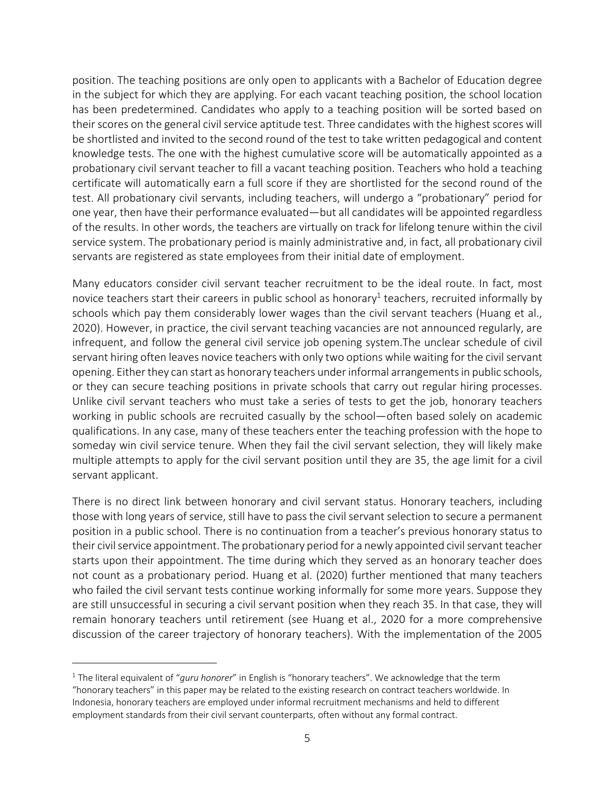position. The teaching positions are only open to applicants with a Bachelor of Education degree in the subject for which they are applying. For each vacant teaching position, the school location their scores on the general civil service aptitude test. Three candidates with the highest scores will be shortlisted and invited to the second round of the test to take written pedagogical and content knowledge tests. The one with the highest cumulative score will be automatically appointed as a probationary civil servant teacher to fill a vacant teaching position. Teachers who hold a teaching certificate will automatically earn a full score if they are shortlisted for the second round of the test. All probationary civil servants, including teachers, will undergo a "probationary" period for one year, then have their performance evaluated—but all candidates will be appointed regardless of the results. In other words, the teachers are virtually on track for lifelong tenure within the civil service system. The probationary period is mainly administrative and, in fact, all probationary civil servants are registered as state employees from their initial date of employment. has been predetermined. Candidates who apply to a teaching position will be sorted based on

 Many educators consider civil servant teacher recruitment to be the ideal route. In fact, most novice teachers start their careers in public school as honorary<sup>1</sup> teachers, recruited informally by schools which pay them considerably lower wages than the civil servant teachers (Huang et al., infrequent, and follow the general civil service job opening system.The unclear schedule of civil opening. Either they can start as honorary teachers under informal arrangements in public schools, Unlike civil servant teachers who must take a series of tests to get the job, honorary teachers working in public schools are recruited casually by the school—often based solely on academic qualifications. In any case, many of these teachers enter the teaching profession with the hope to someday win civil service tenure. When they fail the civil servant selection, they will likely make multiple attempts to apply for the civil servant position until they are 35, the age limit for a civil 2020). However, in practice, the civil servant teaching vacancies are not announced regularly, are servant hiring often leaves novice teachers with only two options while waiting for the civil servant or they can secure teaching positions in private schools that carry out regular hiring processes. servant applicant.

 those with long years of service, still have to pass the civil servant selection to secure a permanent position in a public school. There is no continuation from a teacher's previous honorary status to their civil service appointment. The probationary period for a newly appointed civil servant teacher starts upon their appointment. The time during which they served as an honorary teacher does not count as a probationary period. Huang et al. (2020) further mentioned that many teachers who failed the civil servant tests continue working informally for some more years. Suppose they remain honorary teachers until retirement (see Huang et al., 2020 for a more comprehensive discussion of the career trajectory of honorary teachers). With the implementation of the 2005 There is no direct link between honorary and civil servant status. Honorary teachers, including are still unsuccessful in securing a civil servant position when they reach 35. In that case, they will

 <sup>1</sup> The literal equivalent of "*guru honorer*" in English is "honorary teachers". We acknowledge that the term "honorary teachers" in this paper may be related to the existing research on contract teachers worldwide. In employment standards from their civil servant counterparts, often without any formal contract. Indonesia, honorary teachers are employed under informal recruitment mechanisms and held to different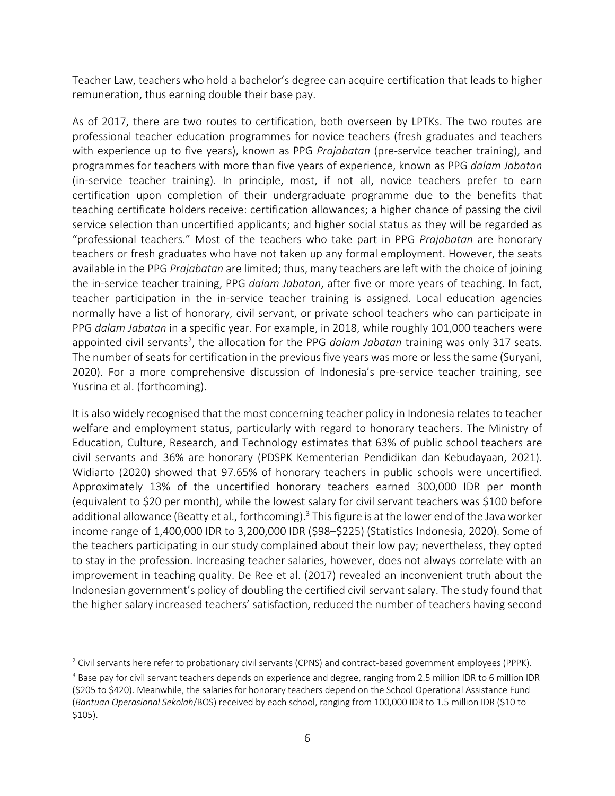Teacher Law, teachers who hold a bachelor's degree can acquire certification that leads to higher remuneration, thus earning double their base pay.

 As of 2017, there are two routes to certification, both overseen by LPTKs. The two routes are professional teacher education programmes for novice teachers (fresh graduates and teachers with experience up to five years), known as PPG *Prajabatan* (pre-service teacher training), and programmes for teachers with more than five years of experience, known as PPG *dalam Jabatan*  (in-service teacher training). In principle, most, if not all, novice teachers prefer to earn certification upon completion of their undergraduate programme due to the benefits that service selection than uncertified applicants; and higher social status as they will be regarded as "professional teachers." Most of the teachers who take part in PPG *Prajabatan* are honorary teachers or fresh graduates who have not taken up any formal employment. However, the seats available in the PPG *Prajabatan* are limited; thus, many teachers are left with the choice of joining the in-service teacher training, PPG *dalam Jabatan*, after five or more years of teaching. In fact, normally have a list of honorary, civil servant, or private school teachers who can participate in PPG *dalam Jabatan* in a specific year. For example, in 2018, while roughly 101,000 teachers were The number of seats for certification in the previous five years was more or less the same (Suryani, 2020). For a more comprehensive discussion of Indonesia's pre-service teacher training, see Yusrina et al. (forthcoming). teaching certificate holders receive: certification allowances; a higher chance of passing the civil teacher participation in the in-service teacher training is assigned. Local education agencies appointed civil servants<sup>2</sup>, the allocation for the PPG *dalam Jabatan* training was only 317 seats.

 It is also widely recognised that the most concerning teacher policy in Indonesia relates to teacher welfare and employment status, particularly with regard to honorary teachers. The Ministry of Education, Culture, Research, and Technology estimates that 63% of public school teachers are civil servants and 36% are honorary (PDSPK Kementerian Pendidikan dan Kebudayaan, 2021). Widiarto (2020) showed that 97.65% of honorary teachers in public schools were uncertified. Approximately 13% of the uncertified honorary teachers earned 300,000 IDR per month (equivalent to \$20 per month), while the lowest salary for civil servant teachers was \$100 before additional allowance (Beatty et al., forthcoming).<sup>3</sup> This figure is at the lower end of the Java worker income range of 1,400,000 IDR to 3,200,000 IDR (\$98–\$225) (Statistics Indonesia, 2020). Some of the teachers participating in our study complained about their low pay; nevertheless, they opted to stay in the profession. Increasing teacher salaries, however, does not always correlate with an improvement in teaching quality. De Ree et al. (2017) revealed an inconvenient truth about the Indonesian government's policy of doubling the certified civil servant salary. The study found that the higher salary increased teachers' satisfaction, reduced the number of teachers having second

 $2$  Civil servants here refer to probationary civil servants (CPNS) and contract-based government employees (PPPK).

 $3$  Base pay for civil servant teachers depends on experience and degree, ranging from 2.5 million IDR to 6 million IDR (\$205 to \$420). Meanwhile, the salaries for honorary teachers depend on the School Operational Assistance Fund (*Bantuan Operasional Sekolah*/BOS) received by each school, ranging from 100,000 IDR to 1.5 million IDR (\$10 to  $$105$ ).  $$105$ ).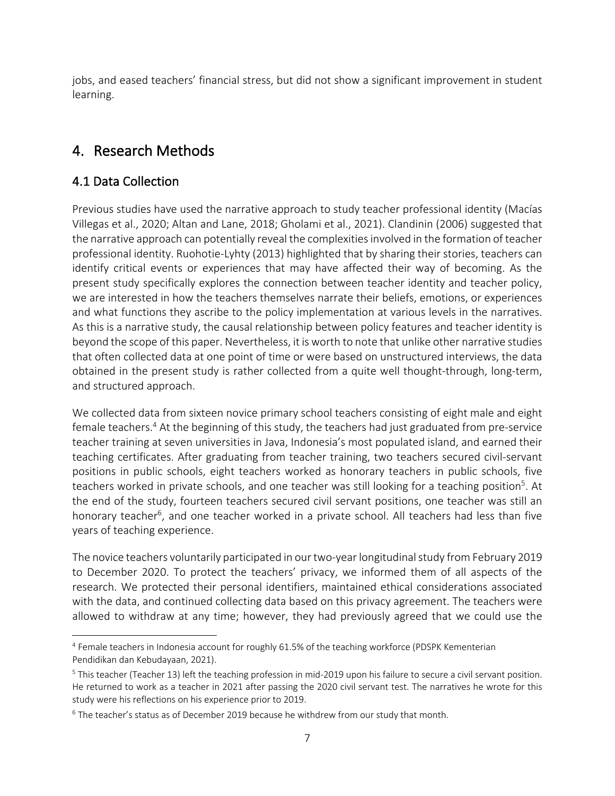jobs, and eased teachers' financial stress, but did not show a significant improvement in student learning.

# <span id="page-10-0"></span>4. Research Methods

#### <span id="page-10-1"></span>4.1 Data Collection

 Previous studies have used the narrative approach to study teacher professional identity (Macías Villegas et al., 2020; Altan and Lane, 2018; Gholami et al., 2021). Clandinin (2006) suggested that the narrative approach can potentially reveal the complexities involved in the formation of teacher identify critical events or experiences that may have affected their way of becoming. As the we are interested in how the teachers themselves narrate their beliefs, emotions, or experiences and what functions they ascribe to the policy implementation at various levels in the narratives. As this is a narrative study, the causal relationship between policy features and teacher identity is beyond the scope of this paper. Nevertheless, it is worth to note that unlike other narrative studies that often collected data at one point of time or were based on unstructured interviews, the data professional identity. Ruohotie-Lyhty (2013) highlighted that by sharing their stories, teachers can present study specifically explores the connection between teacher identity and teacher policy, obtained in the present study is rather collected from a quite well thought-through, long-term, and structured approach.

 We collected data from sixteen novice primary school teachers consisting of eight male and eight female teachers.<sup>4</sup> At the beginning of this study, the teachers had just graduated from pre-service teacher training at seven universities in Java, Indonesia's most populated island, and earned their teaching certificates. After graduating from teacher training, two teachers secured civil-servant the end of the study, fourteen teachers secured civil servant positions, one teacher was still an honorary teacher<sup>6</sup>, and one teacher worked in a private school. All teachers had less than five positions in public schools, eight teachers worked as honorary teachers in public schools, five teachers worked in private schools, and one teacher was still looking for a teaching position<sup>5</sup>. At years of teaching experience.

 The novice teachers voluntarily participated in our two-year longitudinal study from February 2019 to December 2020. To protect the teachers' privacy, we informed them of all aspects of the research. We protected their personal identifiers, maintained ethical considerations associated with the data, and continued collecting data based on this privacy agreement. The teachers were allowed to withdraw at any time; however, they had previously agreed that we could use the

<sup>&</sup>lt;sup>4</sup> Female teachers in Indonesia account for roughly 61.5% of the teaching workforce (PDSPK Kementerian Pendidikan dan Kebudayaan, 2021).

 $^5$  This teacher (Teacher 13) left the teaching profession in mid-2019 upon his failure to secure a civil servant position. He returned to work as a teacher in 2021 after passing the 2020 civil servant test. The narratives he wrote for this study were his reflections on his experience prior to 2019.

 $6$  The teacher's status as of December 2019 because he withdrew from our study that month.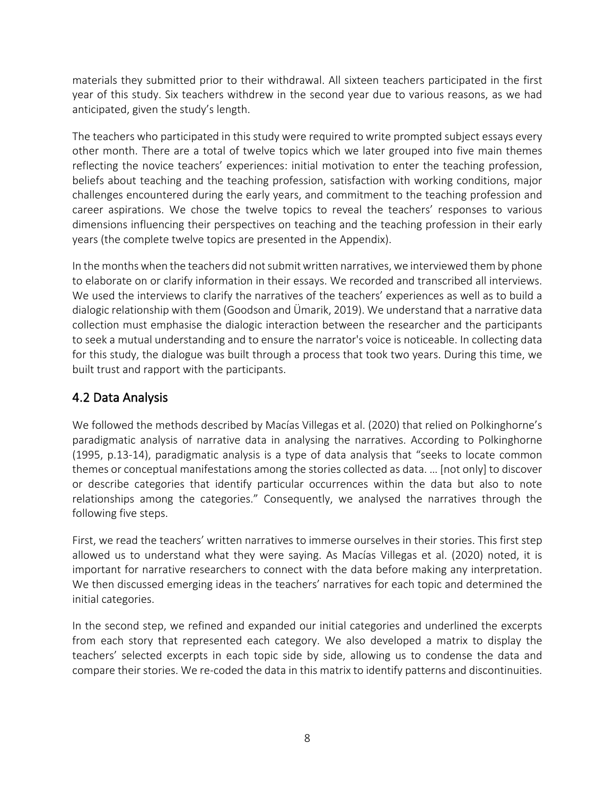materials they submitted prior to their withdrawal. All sixteen teachers participated in the first year of this study. Six teachers withdrew in the second year due to various reasons, as we had anticipated, given the study's length.

 The teachers who participated in this study were required to write prompted subject essays every other month. There are a total of twelve topics which we later grouped into five main themes reflecting the novice teachers' experiences: initial motivation to enter the teaching profession, beliefs about teaching and the teaching profession, satisfaction with working conditions, major challenges encountered during the early years, and commitment to the teaching profession and career aspirations. We chose the twelve topics to reveal the teachers' responses to various dimensions influencing their perspectives on teaching and the teaching profession in their early years (the complete twelve topics are presented in the Appendix).

 In the months when the teachers did not submit written narratives, we interviewed them by phone to elaborate on or clarify information in their essays. We recorded and transcribed all interviews. dialogic relationship with them (Goodson and Ümarik, 2019). We understand that a narrative data collection must emphasise the dialogic interaction between the researcher and the participants to seek a mutual understanding and to ensure the narrator's voice is noticeable. In collecting data for this study, the dialogue was built through a process that took two years. During this time, we We used the interviews to clarify the narratives of the teachers' experiences as well as to build a built trust and rapport with the participants.

#### <span id="page-11-0"></span>4.2 Data Analysis

 We followed the methods described by Macías Villegas et al. (2020) that relied on Polkinghorne's paradigmatic analysis of narrative data in analysing the narratives. According to Polkinghorne (1995, p.13-14), paradigmatic analysis is a type of data analysis that "seeks to locate common themes or conceptual manifestations among the stories collected as data. … [not only] to discover or describe categories that identify particular occurrences within the data but also to note relationships among the categories." Consequently, we analysed the narratives through the following five steps.

 First, we read the teachers' written narratives to immerse ourselves in their stories. This first step allowed us to understand what they were saying. As Macías Villegas et al. (2020) noted, it is important for narrative researchers to connect with the data before making any interpretation. We then discussed emerging ideas in the teachers' narratives for each topic and determined the initial categories.

initial categories.<br>In the second step, we refined and expanded our initial categories and underlined the excerpts from each story that represented each category. We also developed a matrix to display the teachers' selected excerpts in each topic side by side, allowing us to condense the data and compare their stories. We re-coded the data in this matrix to identify patterns and discontinuities.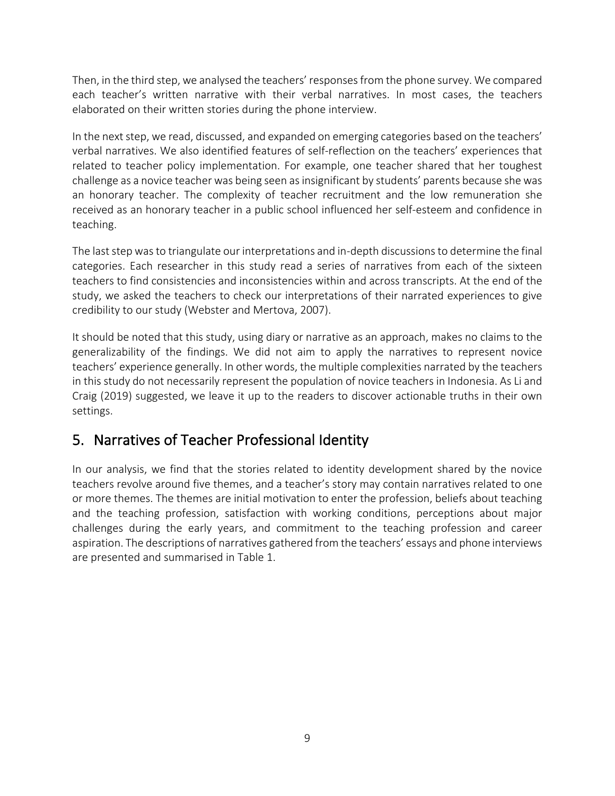Then, in the third step, we analysed the teachers' responses from the phone survey. We compared each teacher's written narrative with their verbal narratives. In most cases, the teachers elaborated on their written stories during the phone interview.

 In the next step, we read, discussed, and expanded on emerging categories based on the teachers' related to teacher policy implementation. For example, one teacher shared that her toughest challenge as a novice teacher was being seen as insignificant by students' parents because she was an honorary teacher. The complexity of teacher recruitment and the low remuneration she received as an honorary teacher in a public school influenced her self-esteem and confidence in verbal narratives. We also identified features of self-reflection on the teachers' experiences that teaching.

 The last step was to triangulate our interpretations and in-depth discussions to determine the final categories. Each researcher in this study read a series of narratives from each of the sixteen teachers to find consistencies and inconsistencies within and across transcripts. At the end of the credibility to our study (Webster and Mertova, 2007). study, we asked the teachers to check our interpretations of their narrated experiences to give

credibility to our study (Webster and Mertova, 2007).<br>It should be noted that this study, using diary or narrative as an approach, makes no claims to the generalizability of the findings. We did not aim to apply the narratives to represent novice teachers' experience generally. In other words, the multiple complexities narrated by the teachers Craig (2019) suggested, we leave it up to the readers to discover actionable truths in their own in this study do not necessarily represent the population of novice teachers in Indonesia. As Li and settings.

# <span id="page-12-0"></span>5. Narratives of Teacher Professional Identity

 In our analysis, we find that the stories related to identity development shared by the novice teachers revolve around five themes, and a teacher's story may contain narratives related to one or more themes. The themes are initial motivation to enter the profession, beliefs about teaching and the teaching profession, satisfaction with working conditions, perceptions about major challenges during the early years, and commitment to the teaching profession and career aspiration. The descriptions of narratives gathered from the teachers' essays and phone interviews are presented and summarised in Table 1.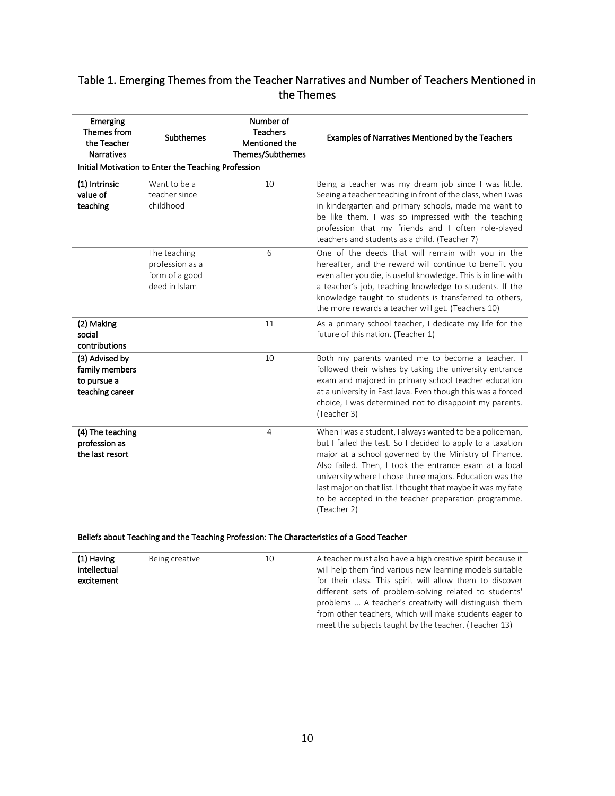#### <span id="page-13-1"></span><span id="page-13-0"></span> Table 1. Emerging Themes from the Teacher Narratives and Number of Teachers Mentioned in the Themes

| <b>Emerging</b><br>Themes from<br>the Teacher<br><b>Narratives</b> | <b>Subthemes</b>                                                   | Number of<br><b>Teachers</b><br>Mentioned the<br>Themes/Subthemes | Examples of Narratives Mentioned by the Teachers                                                                                                                                                                                                                                                                                                                                                                                              |  |  |  |  |  |  |
|--------------------------------------------------------------------|--------------------------------------------------------------------|-------------------------------------------------------------------|-----------------------------------------------------------------------------------------------------------------------------------------------------------------------------------------------------------------------------------------------------------------------------------------------------------------------------------------------------------------------------------------------------------------------------------------------|--|--|--|--|--|--|
|                                                                    | Initial Motivation to Enter the Teaching Profession                |                                                                   |                                                                                                                                                                                                                                                                                                                                                                                                                                               |  |  |  |  |  |  |
| (1) Intrinsic<br>value of<br>teaching                              | Want to be a<br>teacher since<br>childhood                         | 10                                                                | Being a teacher was my dream job since I was little.<br>Seeing a teacher teaching in front of the class, when I was<br>in kindergarten and primary schools, made me want to<br>be like them. I was so impressed with the teaching<br>profession that my friends and I often role-played<br>teachers and students as a child. (Teacher 7)                                                                                                      |  |  |  |  |  |  |
|                                                                    | The teaching<br>profession as a<br>form of a good<br>deed in Islam | 6                                                                 | One of the deeds that will remain with you in the<br>hereafter, and the reward will continue to benefit you<br>even after you die, is useful knowledge. This is in line with<br>a teacher's job, teaching knowledge to students. If the<br>knowledge taught to students is transferred to others,<br>the more rewards a teacher will get. (Teachers 10)                                                                                       |  |  |  |  |  |  |
| (2) Making<br>social<br>contributions                              |                                                                    | 11                                                                | As a primary school teacher, I dedicate my life for the<br>future of this nation. (Teacher 1)                                                                                                                                                                                                                                                                                                                                                 |  |  |  |  |  |  |
| (3) Advised by<br>family members<br>to pursue a<br>teaching career |                                                                    | 10                                                                | Both my parents wanted me to become a teacher. I<br>followed their wishes by taking the university entrance<br>exam and majored in primary school teacher education<br>at a university in East Java. Even though this was a forced<br>choice, I was determined not to disappoint my parents.<br>(Teacher 3)                                                                                                                                   |  |  |  |  |  |  |
| (4) The teaching<br>profession as<br>the last resort               |                                                                    | $\overline{4}$                                                    | When I was a student, I always wanted to be a policeman,<br>but I failed the test. So I decided to apply to a taxation<br>major at a school governed by the Ministry of Finance.<br>Also failed. Then, I took the entrance exam at a local<br>university where I chose three majors. Education was the<br>last major on that list. I thought that maybe it was my fate<br>to be accepted in the teacher preparation programme.<br>(Teacher 2) |  |  |  |  |  |  |

Beliefs about Teaching and the Teaching Profession: The Characteristics of a Good Teacher

| $(1)$ Having<br>intellectual<br>excitement | Being creative | 10 | A teacher must also have a high creative spirit because it<br>will help them find various new learning models suitable<br>for their class. This spirit will allow them to discover<br>different sets of problem-solving related to students'<br>problems  A teacher's creativity will distinguish them<br>from other teachers, which will make students eager to<br>meet the subjects taught by the teacher. (Teacher 13) |
|--------------------------------------------|----------------|----|---------------------------------------------------------------------------------------------------------------------------------------------------------------------------------------------------------------------------------------------------------------------------------------------------------------------------------------------------------------------------------------------------------------------------|
|                                            |                |    |                                                                                                                                                                                                                                                                                                                                                                                                                           |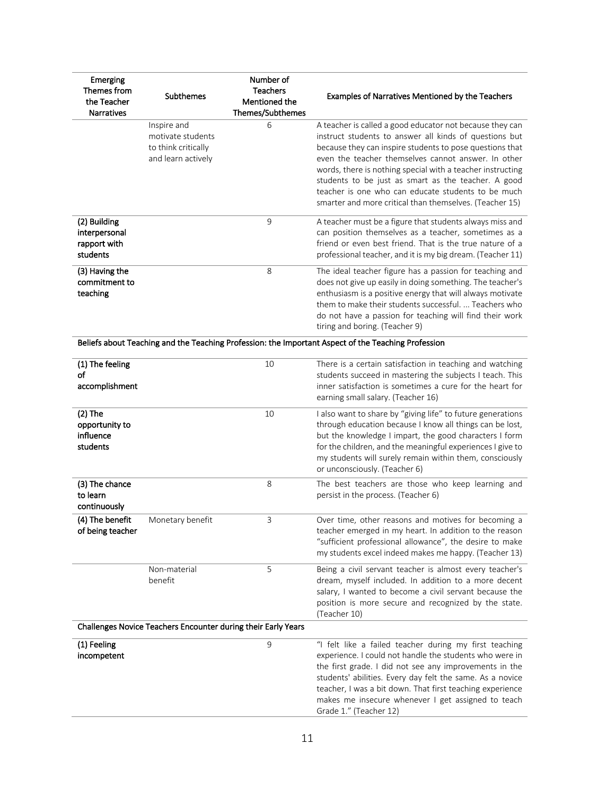| Emerging<br>Themes from<br>the Teacher<br>Narratives      | Subthemes                                                                     | Number of<br>Teachers<br>Mentioned the<br>Themes/Subthemes | Examples of Narratives Mentioned by the Teachers                                                                                                                                                                                                                                                                                                                                                                                                                            |
|-----------------------------------------------------------|-------------------------------------------------------------------------------|------------------------------------------------------------|-----------------------------------------------------------------------------------------------------------------------------------------------------------------------------------------------------------------------------------------------------------------------------------------------------------------------------------------------------------------------------------------------------------------------------------------------------------------------------|
|                                                           | Inspire and<br>motivate students<br>to think critically<br>and learn actively | 6                                                          | A teacher is called a good educator not because they can<br>instruct students to answer all kinds of questions but<br>because they can inspire students to pose questions that<br>even the teacher themselves cannot answer. In other<br>words, there is nothing special with a teacher instructing<br>students to be just as smart as the teacher. A good<br>teacher is one who can educate students to be much<br>smarter and more critical than themselves. (Teacher 15) |
| (2) Building<br>interpersonal<br>rapport with<br>students |                                                                               | 9                                                          | A teacher must be a figure that students always miss and<br>can position themselves as a teacher, sometimes as a<br>friend or even best friend. That is the true nature of a<br>professional teacher, and it is my big dream. (Teacher 11)                                                                                                                                                                                                                                  |
| (3) Having the<br>commitment to<br>teaching               |                                                                               | 8                                                          | The ideal teacher figure has a passion for teaching and<br>does not give up easily in doing something. The teacher's<br>enthusiasm is a positive energy that will always motivate<br>them to make their students successful.  Teachers who<br>do not have a passion for teaching will find their work<br>tiring and boring. (Teacher 9)                                                                                                                                     |
|                                                           |                                                                               |                                                            | Beliefs about Teaching and the Teaching Profession: the Important Aspect of the Teaching Profession                                                                                                                                                                                                                                                                                                                                                                         |
| (1) The feeling<br>of<br>accomplishment                   |                                                                               | 10                                                         | There is a certain satisfaction in teaching and watching<br>students succeed in mastering the subjects I teach. This<br>inner satisfaction is sometimes a cure for the heart for<br>earning small salary. (Teacher 16)                                                                                                                                                                                                                                                      |
| $(2)$ The<br>opportunity to<br>influence<br>students      |                                                                               | 10                                                         | I also want to share by "giving life" to future generations<br>through education because I know all things can be lost,<br>but the knowledge I impart, the good characters I form<br>for the children, and the meaningful experiences I give to<br>my students will surely remain within them, consciously<br>or unconsciously. (Teacher 6)                                                                                                                                 |
| (3) The chance<br>to learn<br>continuously                |                                                                               | 8                                                          | The best teachers are those who keep learning and<br>persist in the process. (Teacher 6)                                                                                                                                                                                                                                                                                                                                                                                    |
| (4) The benefit<br>of being teacher                       | Monetary benefit                                                              | ₹                                                          | Over time, other reasons and motives for becoming a<br>teacher emerged in my heart. In addition to the reason<br>"sufficient professional allowance", the desire to make<br>my students excel indeed makes me happy. (Teacher 13)                                                                                                                                                                                                                                           |
|                                                           | Non-material<br>benefit                                                       | 5                                                          | Being a civil servant teacher is almost every teacher's<br>dream, myself included. In addition to a more decent<br>salary, I wanted to become a civil servant because the<br>position is more secure and recognized by the state.<br>(Teacher 10)                                                                                                                                                                                                                           |
|                                                           | Challenges Novice Teachers Encounter during their Early Years                 |                                                            |                                                                                                                                                                                                                                                                                                                                                                                                                                                                             |
| (1) Feeling<br>incompetent                                |                                                                               | 9                                                          | "I felt like a failed teacher during my first teaching<br>experience. I could not handle the students who were in<br>the first grade. I did not see any improvements in the<br>students' abilities. Every day felt the same. As a novice<br>teacher, I was a bit down. That first teaching experience<br>makes me insecure whenever I get assigned to teach<br>Grade 1." (Teacher 12)                                                                                       |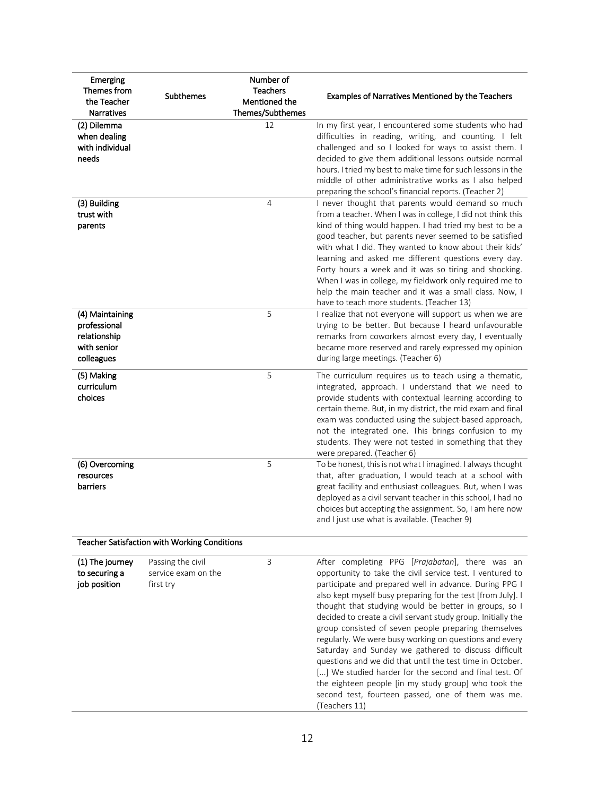| <b>Emerging</b><br>Themes from<br>the Teacher                                | Subthemes                                             | Number of<br>Teachers<br>Mentioned the | Examples of Narratives Mentioned by the Teachers                                                                                                                                                                                                                                                                                                                                                                                                                                                                                                                                                                                                                                                                                                                                              |  |  |
|------------------------------------------------------------------------------|-------------------------------------------------------|----------------------------------------|-----------------------------------------------------------------------------------------------------------------------------------------------------------------------------------------------------------------------------------------------------------------------------------------------------------------------------------------------------------------------------------------------------------------------------------------------------------------------------------------------------------------------------------------------------------------------------------------------------------------------------------------------------------------------------------------------------------------------------------------------------------------------------------------------|--|--|
| Narratives                                                                   |                                                       | Themes/Subthemes                       |                                                                                                                                                                                                                                                                                                                                                                                                                                                                                                                                                                                                                                                                                                                                                                                               |  |  |
| (2) Dilemma<br>when dealing<br>with individual<br>needs                      |                                                       | 12                                     | In my first year, I encountered some students who had<br>difficulties in reading, writing, and counting. I felt<br>challenged and so I looked for ways to assist them. I<br>decided to give them additional lessons outside normal<br>hours. I tried my best to make time for such lessons in the<br>middle of other administrative works as I also helped<br>preparing the school's financial reports. (Teacher 2)                                                                                                                                                                                                                                                                                                                                                                           |  |  |
| (3) Building<br>trust with<br>parents                                        |                                                       | 4                                      | I never thought that parents would demand so much<br>from a teacher. When I was in college, I did not think this<br>kind of thing would happen. I had tried my best to be a<br>good teacher, but parents never seemed to be satisfied<br>with what I did. They wanted to know about their kids'<br>learning and asked me different questions every day.<br>Forty hours a week and it was so tiring and shocking.<br>When I was in college, my fieldwork only required me to<br>help the main teacher and it was a small class. Now, I<br>have to teach more students. (Teacher 13)                                                                                                                                                                                                            |  |  |
| (4) Maintaining<br>professional<br>relationship<br>with senior<br>colleagues |                                                       | 5                                      | I realize that not everyone will support us when we are<br>trying to be better. But because I heard unfavourable<br>remarks from coworkers almost every day, I eventually<br>became more reserved and rarely expressed my opinion<br>during large meetings. (Teacher 6)                                                                                                                                                                                                                                                                                                                                                                                                                                                                                                                       |  |  |
| (5) Making<br>curriculum<br>choices                                          |                                                       | 5                                      | The curriculum requires us to teach using a thematic,<br>integrated, approach. I understand that we need to<br>provide students with contextual learning according to<br>certain theme. But, in my district, the mid exam and final<br>exam was conducted using the subject-based approach,<br>not the integrated one. This brings confusion to my<br>students. They were not tested in something that they<br>were prepared. (Teacher 6)                                                                                                                                                                                                                                                                                                                                                     |  |  |
| (6) Overcoming<br>resources<br>barriers                                      |                                                       | 5                                      | To be honest, this is not what I imagined. I always thought<br>that, after graduation, I would teach at a school with<br>great facility and enthusiast colleagues. But, when I was<br>deployed as a civil servant teacher in this school, I had no<br>choices but accepting the assignment. So, I am here now<br>and I just use what is available. (Teacher 9)                                                                                                                                                                                                                                                                                                                                                                                                                                |  |  |
|                                                                              | Teacher Satisfaction with Working Conditions          |                                        |                                                                                                                                                                                                                                                                                                                                                                                                                                                                                                                                                                                                                                                                                                                                                                                               |  |  |
| (1) The journey<br>to securing a<br>job position                             | Passing the civil<br>service exam on the<br>first try | $\mathsf{3}$                           | After completing PPG [Prajabatan], there was an<br>opportunity to take the civil service test. I ventured to<br>participate and prepared well in advance. During PPG I<br>also kept myself busy preparing for the test [from July]. I<br>thought that studying would be better in groups, so I<br>decided to create a civil servant study group. Initially the<br>group consisted of seven people preparing themselves<br>regularly. We were busy working on questions and every<br>Saturday and Sunday we gathered to discuss difficult<br>questions and we did that until the test time in October.<br>[] We studied harder for the second and final test. Of<br>the eighteen people [in my study group] who took the<br>second test, fourteen passed, one of them was me.<br>(Teachers 11) |  |  |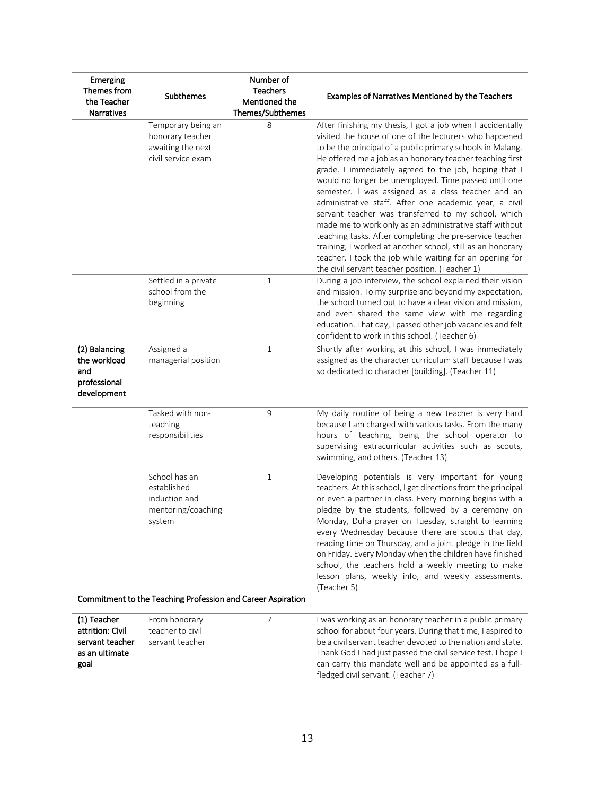| <b>Emerging</b><br>Themes from<br>the Teacher<br>Narratives                  | Subthemes                                                                         | Number of<br>Teachers<br>Mentioned the<br>Themes/Subthemes | Examples of Narratives Mentioned by the Teachers                                                                                                                                                                                                                                                                                                                                                                                                                                                                                                                                                                                                                                                                                                                                                                                            |
|------------------------------------------------------------------------------|-----------------------------------------------------------------------------------|------------------------------------------------------------|---------------------------------------------------------------------------------------------------------------------------------------------------------------------------------------------------------------------------------------------------------------------------------------------------------------------------------------------------------------------------------------------------------------------------------------------------------------------------------------------------------------------------------------------------------------------------------------------------------------------------------------------------------------------------------------------------------------------------------------------------------------------------------------------------------------------------------------------|
|                                                                              | Temporary being an<br>honorary teacher<br>awaiting the next<br>civil service exam | 8                                                          | After finishing my thesis, I got a job when I accidentally<br>visited the house of one of the lecturers who happened<br>to be the principal of a public primary schools in Malang.<br>He offered me a job as an honorary teacher teaching first<br>grade. I immediately agreed to the job, hoping that I<br>would no longer be unemployed. Time passed until one<br>semester. I was assigned as a class teacher and an<br>administrative staff. After one academic year, a civil<br>servant teacher was transferred to my school, which<br>made me to work only as an administrative staff without<br>teaching tasks. After completing the pre-service teacher<br>training, I worked at another school, still as an honorary<br>teacher. I took the job while waiting for an opening for<br>the civil servant teacher position. (Teacher 1) |
|                                                                              | Settled in a private<br>school from the<br>beginning                              | $\mathbf{1}$                                               | During a job interview, the school explained their vision<br>and mission. To my surprise and beyond my expectation,<br>the school turned out to have a clear vision and mission,<br>and even shared the same view with me regarding<br>education. That day, I passed other job vacancies and felt<br>confident to work in this school. (Teacher 6)                                                                                                                                                                                                                                                                                                                                                                                                                                                                                          |
| (2) Balancing<br>the workload<br>and<br>professional<br>development          | Assigned a<br>managerial position                                                 | $\mathbf{1}$                                               | Shortly after working at this school, I was immediately<br>assigned as the character curriculum staff because I was<br>so dedicated to character [building]. (Teacher 11)                                                                                                                                                                                                                                                                                                                                                                                                                                                                                                                                                                                                                                                                   |
|                                                                              | Tasked with non-<br>teaching<br>responsibilities                                  | 9                                                          | My daily routine of being a new teacher is very hard<br>because I am charged with various tasks. From the many<br>hours of teaching, being the school operator to<br>supervising extracurricular activities such as scouts,<br>swimming, and others. (Teacher 13)                                                                                                                                                                                                                                                                                                                                                                                                                                                                                                                                                                           |
|                                                                              | School has an<br>established<br>induction and<br>mentoring/coaching<br>system     | $\,1\,$                                                    | Developing potentials is very important for young<br>teachers. At this school, I get directions from the principal<br>or even a partner in class. Every morning begins with a<br>pledge by the students, followed by a ceremony on<br>Monday, Duha prayer on Tuesday, straight to learning<br>every Wednesday because there are scouts that day,<br>reading time on Thursday, and a joint pledge in the field<br>on Friday. Every Monday when the children have finished<br>school, the teachers hold a weekly meeting to make<br>lesson plans, weekly info, and weekly assessments.<br>(Teacher 5)                                                                                                                                                                                                                                         |
|                                                                              | Commitment to the Teaching Profession and Career Aspiration                       |                                                            |                                                                                                                                                                                                                                                                                                                                                                                                                                                                                                                                                                                                                                                                                                                                                                                                                                             |
| (1) Teacher<br>attrition: Civil<br>servant teacher<br>as an ultimate<br>goal | From honorary<br>teacher to civil<br>servant teacher                              | $\overline{7}$                                             | I was working as an honorary teacher in a public primary<br>school for about four years. During that time, I aspired to<br>be a civil servant teacher devoted to the nation and state.<br>Thank God I had just passed the civil service test. I hope I<br>can carry this mandate well and be appointed as a full-<br>fledged civil servant. (Teacher 7)                                                                                                                                                                                                                                                                                                                                                                                                                                                                                     |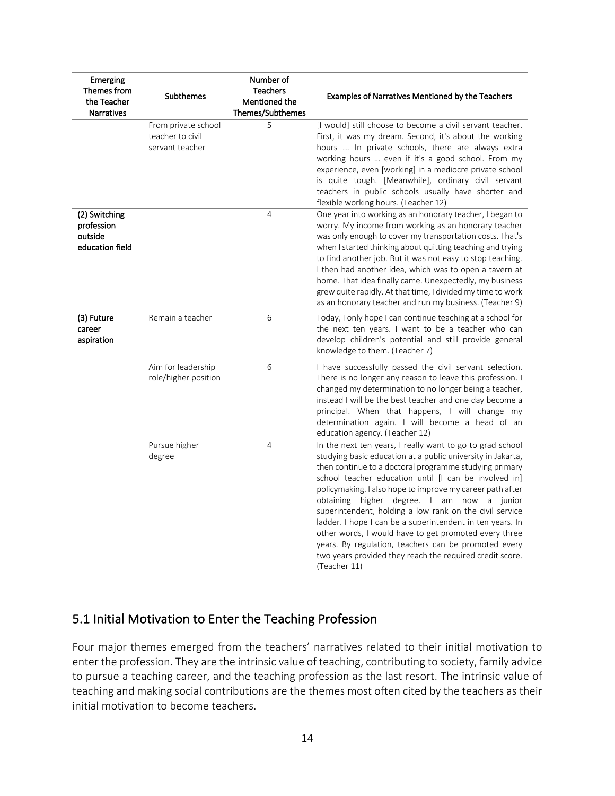| Emerging<br>Themes from<br>the Teacher<br><b>Narratives</b> | Subthemes                                                  | Number of<br>Teachers<br>Mentioned the<br>Themes/Subthemes | <b>Examples of Narratives Mentioned by the Teachers</b>                                                                                                                                                                                                                                                                                                                                                                                                                                                                                                                                                                                                                     |
|-------------------------------------------------------------|------------------------------------------------------------|------------------------------------------------------------|-----------------------------------------------------------------------------------------------------------------------------------------------------------------------------------------------------------------------------------------------------------------------------------------------------------------------------------------------------------------------------------------------------------------------------------------------------------------------------------------------------------------------------------------------------------------------------------------------------------------------------------------------------------------------------|
|                                                             | From private school<br>teacher to civil<br>servant teacher | 5                                                          | [I would] still choose to become a civil servant teacher.<br>First, it was my dream. Second, it's about the working<br>hours  In private schools, there are always extra<br>working hours  even if it's a good school. From my<br>experience, even [working] in a mediocre private school<br>is quite tough. [Meanwhile], ordinary civil servant<br>teachers in public schools usually have shorter and<br>flexible working hours. (Teacher 12)                                                                                                                                                                                                                             |
| (2) Switching<br>profession<br>outside<br>education field   |                                                            | $\overline{4}$                                             | One year into working as an honorary teacher, I began to<br>worry. My income from working as an honorary teacher<br>was only enough to cover my transportation costs. That's<br>when I started thinking about quitting teaching and trying<br>to find another job. But it was not easy to stop teaching.<br>I then had another idea, which was to open a tavern at<br>home. That idea finally came. Unexpectedly, my business<br>grew quite rapidly. At that time, I divided my time to work<br>as an honorary teacher and run my business. (Teacher 9)                                                                                                                     |
| (3) Future<br>career<br>aspiration                          | Remain a teacher                                           | 6                                                          | Today, I only hope I can continue teaching at a school for<br>the next ten years. I want to be a teacher who can<br>develop children's potential and still provide general<br>knowledge to them. (Teacher 7)                                                                                                                                                                                                                                                                                                                                                                                                                                                                |
|                                                             | Aim for leadership<br>role/higher position                 | 6                                                          | I have successfully passed the civil servant selection.<br>There is no longer any reason to leave this profession. I<br>changed my determination to no longer being a teacher,<br>instead I will be the best teacher and one day become a<br>principal. When that happens, I will change my<br>determination again. I will become a head of an<br>education agency. (Teacher 12)                                                                                                                                                                                                                                                                                            |
|                                                             | Pursue higher<br>degree                                    | $\overline{4}$                                             | In the next ten years, I really want to go to grad school<br>studying basic education at a public university in Jakarta,<br>then continue to a doctoral programme studying primary<br>school teacher education until [I can be involved in]<br>policymaking. I also hope to improve my career path after<br>obtaining higher degree. I am now a junior<br>superintendent, holding a low rank on the civil service<br>ladder. I hope I can be a superintendent in ten years. In<br>other words, I would have to get promoted every three<br>years. By regulation, teachers can be promoted every<br>two years provided they reach the required credit score.<br>(Teacher 11) |

#### <span id="page-17-0"></span>5.1 Initial Motivation to Enter the Teaching Profession

 Four major themes emerged from the teachers' narratives related to their initial motivation to enter the profession. They are the intrinsic value of teaching, contributing to society, family advice to pursue a teaching career, and the teaching profession as the last resort. The intrinsic value of teaching and making social contributions are the themes most often cited by the teachers as their initial motivation to become teachers.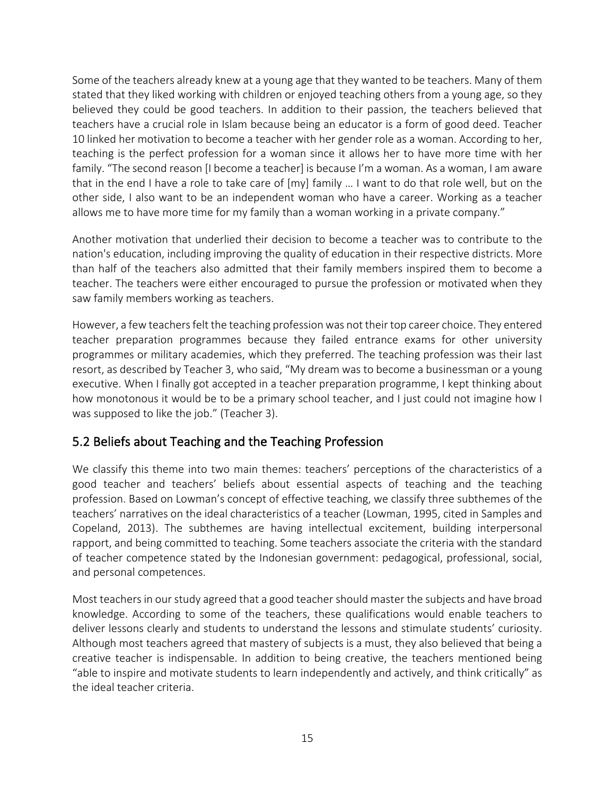Some of the teachers already knew at a young age that they wanted to be teachers. Many of them stated that they liked working with children or enjoyed teaching others from a young age, so they believed they could be good teachers. In addition to their passion, the teachers believed that teachers have a crucial role in Islam because being an educator is a form of good deed. Teacher 10 linked her motivation to become a teacher with her gender role as a woman. According to her, teaching is the perfect profession for a woman since it allows her to have more time with her family. "The second reason [I become a teacher] is because I'm a woman. As a woman, I am aware that in the end I have a role to take care of [my] family … I want to do that role well, but on the other side, I also want to be an independent woman who have a career. Working as a teacher allows me to have more time for my family than a woman working in a private company."

 Another motivation that underlied their decision to become a teacher was to contribute to the nation's education, including improving the quality of education in their respective districts. More than half of the teachers also admitted that their family members inspired them to become a teacher. The teachers were either encouraged to pursue the profession or motivated when they saw family members working as teachers.

 teacher preparation programmes because they failed entrance exams for other university programmes or military academies, which they preferred. The teaching profession was their last resort, as described by Teacher 3, who said, "My dream was to become a businessman or a young executive. When I finally got accepted in a teacher preparation programme, I kept thinking about how monotonous it would be to be a primary school teacher, and I just could not imagine how I was supposed to like the job." (Teacher 3). However, a few teachers felt the teaching profession was not their top career choice. They entered

#### <span id="page-18-0"></span>5.2 Beliefs about Teaching and the Teaching Profession

 We classify this theme into two main themes: teachers' perceptions of the characteristics of a profession. Based on Lowman's concept of effective teaching, we classify three subthemes of the teachers' narratives on the ideal characteristics of a teacher (Lowman, 1995, cited in Samples and Copeland, 2013). The subthemes are having intellectual excitement, building interpersonal rapport, and being committed to teaching. Some teachers associate the criteria with the standard of teacher competence stated by the Indonesian government: pedagogical, professional, social, and personal competences. good teacher and teachers' beliefs about essential aspects of teaching and the teaching

 Most teachers in our study agreed that a good teacher should master the subjects and have broad knowledge. According to some of the teachers, these qualifications would enable teachers to deliver lessons clearly and students to understand the lessons and stimulate students' curiosity. Although most teachers agreed that mastery of subjects is a must, they also believed that being a creative teacher is indispensable. In addition to being creative, the teachers mentioned being "able to inspire and motivate students to learn independently and actively, and think critically" as the ideal teacher criteria.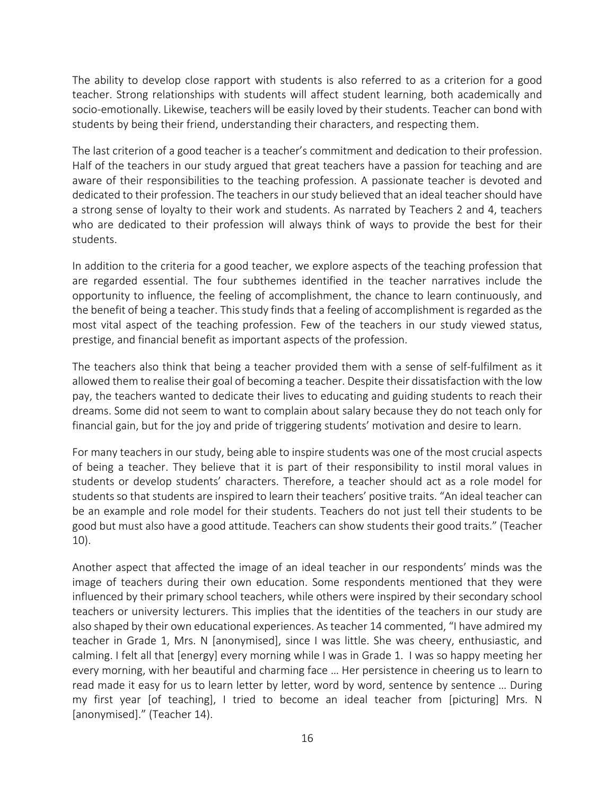The ability to develop close rapport with students is also referred to as a criterion for a good teacher. Strong relationships with students will affect student learning, both academically and socio-emotionally. Likewise, teachers will be easily loved by their students. Teacher can bond with students by being their friend, understanding their characters, and respecting them.

students by being their friend, understanding their characters, and respecting them.<br>The last criterion of a good teacher is a teacher's commitment and dedication to their profession. aware of their responsibilities to the teaching profession. A passionate teacher is devoted and a strong sense of loyalty to their work and students. As narrated by Teachers 2 and 4, teachers who are dedicated to their profession will always think of ways to provide the best for their Half of the teachers in our study argued that great teachers have a passion for teaching and are dedicated to their profession. The teachers in our study believed that an ideal teacher should have students.

 In addition to the criteria for a good teacher, we explore aspects of the teaching profession that are regarded essential. The four subthemes identified in the teacher narratives include the opportunity to influence, the feeling of accomplishment, the chance to learn continuously, and the benefit of being a teacher. This study finds that a feeling of accomplishment is regarded as the most vital aspect of the teaching profession. Few of the teachers in our study viewed status, prestige, and financial benefit as important aspects of the profession.

 The teachers also think that being a teacher provided them with a sense of self-fulfilment as it allowed them to realise their goal of becoming a teacher. Despite their dissatisfaction with the low pay, the teachers wanted to dedicate their lives to educating and guiding students to reach their dreams. Some did not seem to want to complain about salary because they do not teach only for financial gain, but for the joy and pride of triggering students' motivation and desire to learn.

 For many teachers in our study, being able to inspire students was one of the most crucial aspects of being a teacher. They believe that it is part of their responsibility to instil moral values in students or develop students' characters. Therefore, a teacher should act as a role model for be an example and role model for their students. Teachers do not just tell their students to be good but must also have a good attitude. Teachers can show students their good traits." (Teacher students so that students are inspired to learn their teachers' positive traits. "An ideal teacher can 10).

 Another aspect that affected the image of an ideal teacher in our respondents' minds was the image of teachers during their own education. Some respondents mentioned that they were influenced by their primary school teachers, while others were inspired by their secondary school teachers or university lecturers. This implies that the identities of the teachers in our study are also shaped by their own educational experiences. As teacher 14 commented, "I have admired my calming. I felt all that [energy] every morning while I was in Grade 1. I was so happy meeting her every morning, with her beautiful and charming face … Her persistence in cheering us to learn to read made it easy for us to learn letter by letter, word by word, sentence by sentence … During my first year [of teaching], I tried to become an ideal teacher from [picturing] Mrs. N teacher in Grade 1, Mrs. N [anonymised], since I was little. She was cheery, enthusiastic, and [anonymised]." (Teacher 14).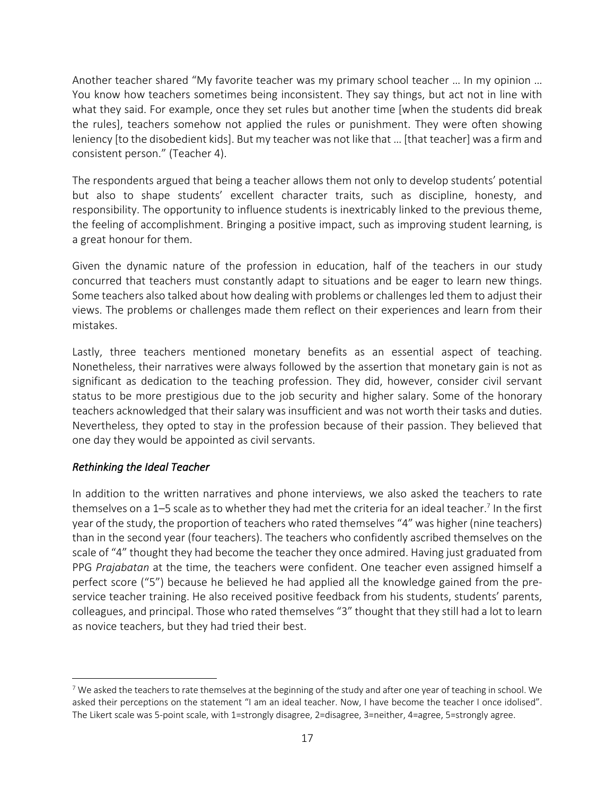Another teacher shared "My favorite teacher was my primary school teacher … In my opinion … You know how teachers sometimes being inconsistent. They say things, but act not in line with what they said. For example, once they set rules but another time [when the students did break the rules], teachers somehow not applied the rules or punishment. They were often showing leniency [to the disobedient kids]. But my teacher was not like that … [that teacher] was a firm and consistent person." (Teacher 4).

 responsibility. The opportunity to influence students is inextricably linked to the previous theme, the feeling of accomplishment. Bringing a positive impact, such as improving student learning, is a great honour for them. The respondents argued that being a teacher allows them not only to develop students' potential but also to shape students' excellent character traits, such as discipline, honesty, and

 Given the dynamic nature of the profession in education, half of the teachers in our study concurred that teachers must constantly adapt to situations and be eager to learn new things. Some teachers also talked about how dealing with problems or challenges led them to adjust their views. The problems or challenges made them reflect on their experiences and learn from their mistakes.

 Lastly, three teachers mentioned monetary benefits as an essential aspect of teaching. Nonetheless, their narratives were always followed by the assertion that monetary gain is not as significant as dedication to the teaching profession. They did, however, consider civil servant status to be more prestigious due to the job security and higher salary. Some of the honorary Nevertheless, they opted to stay in the profession because of their passion. They believed that teachers acknowledged that their salary was insufficient and was not worth their tasks and duties. one day they would be appointed as civil servants.

#### <span id="page-20-0"></span>*Rethinking the Ideal Teacher*

 In addition to the written narratives and phone interviews, we also asked the teachers to rate themselves on a 1–5 scale as to whether they had met the criteria for an ideal teacher.<sup>7</sup> In the first year of the study, the proportion of teachers who rated themselves "4" was higher (nine teachers) than in the second year (four teachers). The teachers who confidently ascribed themselves on the scale of "4" thought they had become the teacher they once admired. Having just graduated from PPG *Prajabatan* at the time, the teachers were confident. One teacher even assigned himself a service teacher training. He also received positive feedback from his students, students' parents, colleagues, and principal. Those who rated themselves "3" thought that they still had a lot to learn perfect score ("5") because he believed he had applied all the knowledge gained from the preas novice teachers, but they had tried their best.

 $^7$  We asked the teachers to rate themselves at the beginning of the study and after one year of teaching in school. We asked their perceptions on the statement "I am an ideal teacher. Now, I have become the teacher I once idolised". The Likert scale was 5-point scale, with 1=strongly disagree, 2=disagree, 3=neither, 4=agree, 5=strongly agree.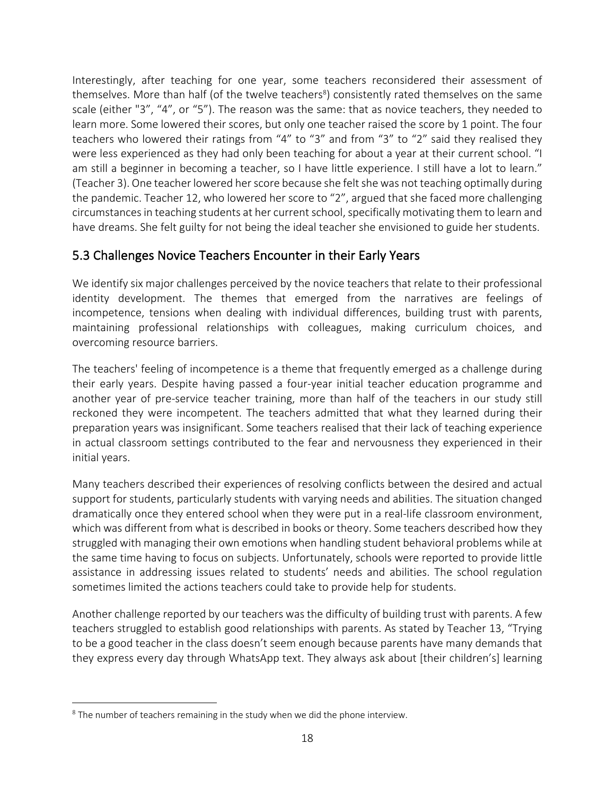Interestingly, after teaching for one year, some teachers reconsidered their assessment of themselves. More than half (of the twelve teachers<sup>8</sup>) consistently rated themselves on the same scale (either "3", "4", or "5"). The reason was the same: that as novice teachers, they needed to learn more. Some lowered their scores, but only one teacher raised the score by 1 point. The four teachers who lowered their ratings from "4" to "3" and from "3" to "2" said they realised they were less experienced as they had only been teaching for about a year at their current school. "I am still a beginner in becoming a teacher, so I have little experience. I still have a lot to learn." (Teacher 3). One teacher lowered her score because she felt she was not teaching optimally during the pandemic. Teacher 12, who lowered her score to "2", argued that she faced more challenging circumstances in teaching students at her current school, specifically motivating them to learn and have dreams. She felt guilty for not being the ideal teacher she envisioned to guide her students.

#### <span id="page-21-0"></span>5.3 Challenges Novice Teachers Encounter in their Early Years

 We identify six major challenges perceived by the novice teachers that relate to their professional identity development. The themes that emerged from the narratives are feelings of maintaining professional relationships with colleagues, making curriculum choices, and overcoming resource barriers. incompetence, tensions when dealing with individual differences, building trust with parents,

 The teachers' feeling of incompetence is a theme that frequently emerged as a challenge during their early years. Despite having passed a four-year initial teacher education programme and another year of pre-service teacher training, more than half of the teachers in our study still reckoned they were incompetent. The teachers admitted that what they learned during their preparation years was insignificant. Some teachers realised that their lack of teaching experience in actual classroom settings contributed to the fear and nervousness they experienced in their initial years.

 Many teachers described their experiences of resolving conflicts between the desired and actual dramatically once they entered school when they were put in a real-life classroom environment, which was different from what is described in books or theory. Some teachers described how they struggled with managing their own emotions when handling student behavioral problems while at the same time having to focus on subjects. Unfortunately, schools were reported to provide little sometimes limited the actions teachers could take to provide help for students. support for students, particularly students with varying needs and abilities. The situation changed assistance in addressing issues related to students' needs and abilities. The school regulation

 Another challenge reported by our teachers was the difficulty of building trust with parents. A few teachers struggled to establish good relationships with parents. As stated by Teacher 13, "Trying to be a good teacher in the class doesn't seem enough because parents have many demands that they express every day through WhatsApp text. They always ask about [their children's] learning

 $8$  The number of teachers remaining in the study when we did the phone interview.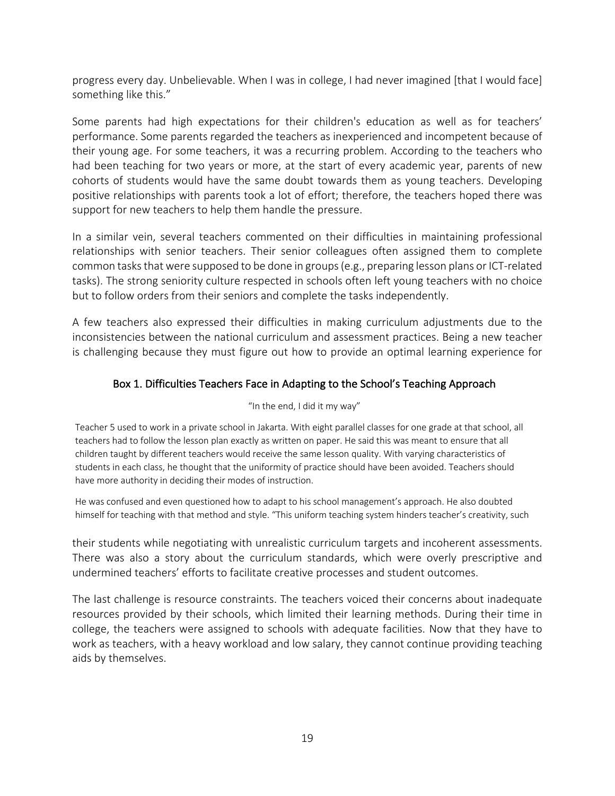progress every day. Unbelievable. When I was in college, I had never imagined [that I would face] something like this."

 Some parents had high expectations for their children's education as well as for teachers' performance. Some parents regarded the teachers as inexperienced and incompetent because of their young age. For some teachers, it was a recurring problem. According to the teachers who had been teaching for two years or more, at the start of every academic year, parents of new cohorts of students would have the same doubt towards them as young teachers. Developing support for new teachers to help them handle the pressure. positive relationships with parents took a lot of effort; therefore, the teachers hoped there was

 In a similar vein, several teachers commented on their difficulties in maintaining professional relationships with senior teachers. Their senior colleagues often assigned them to complete common tasks that were supposed to be done in groups (e.g., preparing lesson plans or ICT-related tasks). The strong seniority culture respected in schools often left young teachers with no choice but to follow orders from their seniors and complete the tasks independently.

 A few teachers also expressed their difficulties in making curriculum adjustments due to the inconsistencies between the national curriculum and assessment practices. Being a new teacher is challenging because they must figure out how to provide an optimal learning experience for

#### Box 1. Difficulties Teachers Face in Adapting to the School's Teaching Approach

#### "In the end, I did it my way"

 Teacher 5 used to work in a private school in Jakarta. With eight parallel classes for one grade at that school, all teachers had to follow the lesson plan exactly as written on paper. He said this was meant to ensure that all children taught by different teachers would receive the same lesson quality. With varying characteristics of students in each class, he thought that the uniformity of practice should have been avoided. Teachers should have more authority in deciding their modes of instruction.

 He was confused and even questioned how to adapt to his school management's approach. He also doubted himself for teaching with that method and style. "This uniform teaching system hinders teacher's creativity, such

 their students while negotiating with unrealistic curriculum targets and incoherent assessments. There was also a story about the curriculum standards, which were overly prescriptive and undermined teachers' efforts to facilitate creative processes and student outcomes.

 The last challenge is resource constraints. The teachers voiced their concerns about inadequate resources provided by their schools, which limited their learning methods. During their time in college, the teachers were assigned to schools with adequate facilities. Now that they have to aids by themselves. work as teachers, with a heavy workload and low salary, they cannot continue providing teaching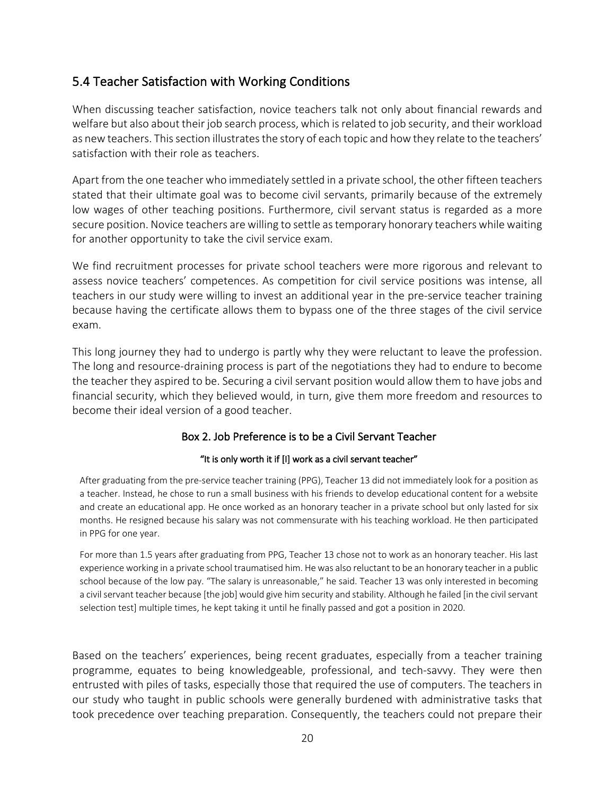#### <span id="page-23-0"></span>5.4 Teacher Satisfaction with Working Conditions

 welfare but also about their job search process, which is related to job security, and their workload When discussing teacher satisfaction, novice teachers talk not only about financial rewards and as new teachers. This section illustrates the story of each topic and how they relate to the teachers' satisfaction with their role as teachers.

 Apart from the one teacher who immediately settled in a private school, the other fifteen teachers stated that their ultimate goal was to become civil servants, primarily because of the extremely low wages of other teaching positions. Furthermore, civil servant status is regarded as a more secure position. Novice teachers are willing to settle as temporary honorary teachers while waiting for another opportunity to take the civil service exam.

 We find recruitment processes for private school teachers were more rigorous and relevant to assess novice teachers' competences. As competition for civil service positions was intense, all because having the certificate allows them to bypass one of the three stages of the civil service teachers in our study were willing to invest an additional year in the pre-service teacher training exam.

 This long journey they had to undergo is partly why they were reluctant to leave the profession. The long and resource-draining process is part of the negotiations they had to endure to become the teacher they aspired to be. Securing a civil servant position would allow them to have jobs and financial security, which they believed would, in turn, give them more freedom and resources to become their ideal version of a good teacher.

#### Box 2. Job Preference is to be a Civil Servant Teacher

#### "It is only worth it if [I] work as a civil servant teacher"

 After graduating from the pre-service teacher training (PPG), Teacher 13 did not immediately look for a position as a teacher. Instead, he chose to run a small business with his friends to develop educational content for a website and create an educational app. He once worked as an honorary teacher in a private school but only lasted for six months. He resigned because his salary was not commensurate with his teaching workload. He then participated in PPG for one year.

 For more than 1.5 years after graduating from PPG, Teacher 13 chose not to work as an honorary teacher. His last experience working in a private school traumatised him. He was also reluctant to be an honorary teacher in a public school because of the low pay. "The salary is unreasonable," he said. Teacher 13 was only interested in becoming a civil servant teacher because [the job] would give him security and stability. Although he failed [in the civil servant selection test] multiple times, he kept taking it until he finally passed and got a position in 2020.

 Based on the teachers' experiences, being recent graduates, especially from a teacher training programme, equates to being knowledgeable, professional, and tech-savvy. They were then entrusted with piles of tasks, especially those that required the use of computers. The teachers in our study who taught in public schools were generally burdened with administrative tasks that took precedence over teaching preparation. Consequently, the teachers could not prepare their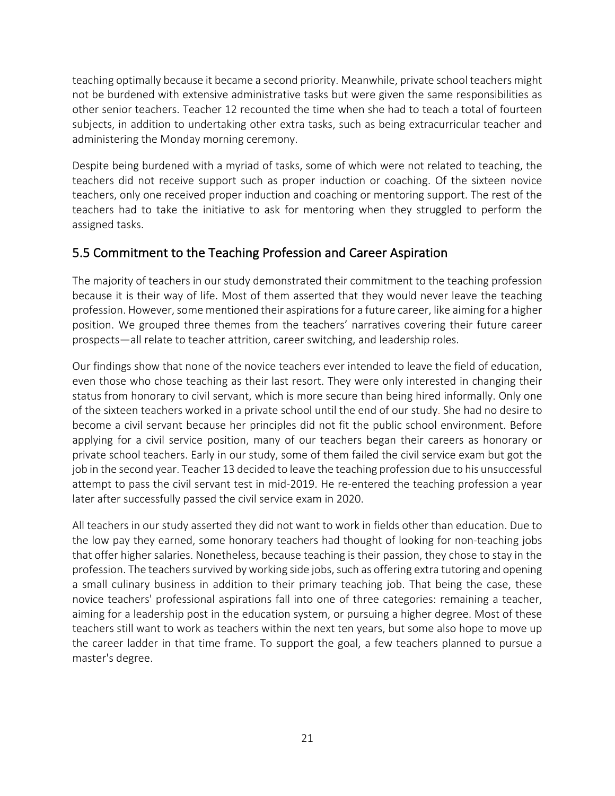teaching optimally because it became a second priority. Meanwhile, private school teachers might not be burdened with extensive administrative tasks but were given the same responsibilities as other senior teachers. Teacher 12 recounted the time when she had to teach a total of fourteen subjects, in addition to undertaking other extra tasks, such as being extracurricular teacher and administering the Monday morning ceremony.

 Despite being burdened with a myriad of tasks, some of which were not related to teaching, the teachers did not receive support such as proper induction or coaching. Of the sixteen novice teachers, only one received proper induction and coaching or mentoring support. The rest of the teachers had to take the initiative to ask for mentoring when they struggled to perform the assigned tasks.

#### <span id="page-24-0"></span>5.5 Commitment to the Teaching Profession and Career Aspiration

 The majority of teachers in our study demonstrated their commitment to the teaching profession because it is their way of life. Most of them asserted that they would never leave the teaching profession. However, some mentioned their aspirations for a future career, like aiming for a higher position. We grouped three themes from the teachers' narratives covering their future career prospects—all relate to teacher attrition, career switching, and leadership roles.

 Our findings show that none of the novice teachers ever intended to leave the field of education, status from honorary to civil servant, which is more secure than being hired informally. Only one of the sixteen teachers worked in a private school until the end of our study. She had no desire to become a civil servant because her principles did not fit the public school environment. Before applying for a civil service position, many of our teachers began their careers as honorary or private school teachers. Early in our study, some of them failed the civil service exam but got the job in the second year. Teacher 13 decided to leave the teaching profession due to his unsuccessful attempt to pass the civil servant test in mid-2019. He re-entered the teaching profession a year later after successfully passed the civil service exam in 2020. even those who chose teaching as their last resort. They were only interested in changing their

 All teachers in our study asserted they did not want to work in fields other than education. Due to the low pay they earned, some honorary teachers had thought of looking for non-teaching jobs that offer higher salaries. Nonetheless, because teaching is their passion, they chose to stay in the a small culinary business in addition to their primary teaching job. That being the case, these novice teachers' professional aspirations fall into one of three categories: remaining a teacher, aiming for a leadership post in the education system, or pursuing a higher degree. Most of these teachers still want to work as teachers within the next ten years, but some also hope to move up the career ladder in that time frame. To support the goal, a few teachers planned to pursue a master's degree. profession. The teachers survived by working side jobs, such as offering extra tutoring and opening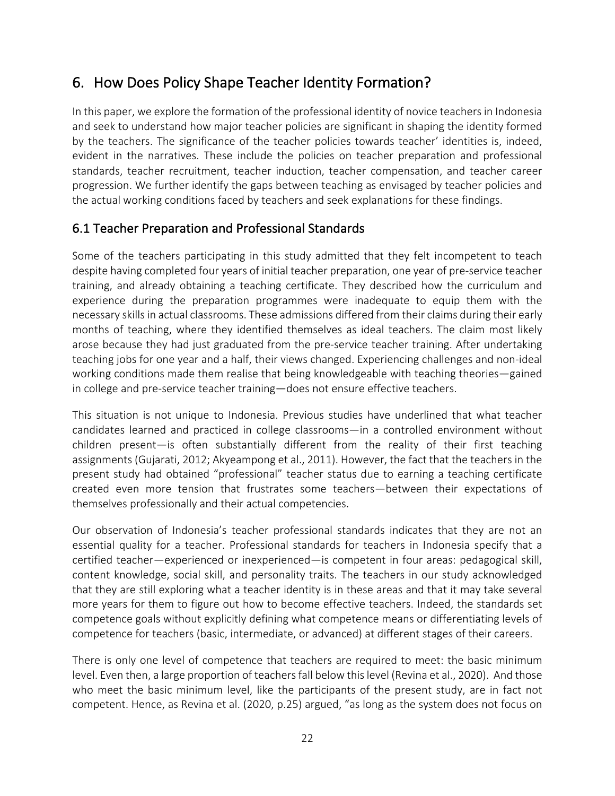# <span id="page-25-0"></span>6. How Does Policy Shape Teacher Identity Formation?

 In this paper, we explore the formation of the professional identity of novice teachers in Indonesia evident in the narratives. These include the policies on teacher preparation and professional standards, teacher recruitment, teacher induction, teacher compensation, and teacher career the actual working conditions faced by teachers and seek explanations for these findings. and seek to understand how major teacher policies are significant in shaping the identity formed by the teachers. The significance of the teacher policies towards teacher' identities is, indeed, progression. We further identify the gaps between teaching as envisaged by teacher policies and

#### <span id="page-25-1"></span>6.1 Teacher Preparation and Professional Standards

 Some of the teachers participating in this study admitted that they felt incompetent to teach despite having completed four years of initial teacher preparation, one year of pre-service teacher training, and already obtaining a teaching certificate. They described how the curriculum and experience during the preparation programmes were inadequate to equip them with the necessary skills in actual classrooms. These admissions differed from their claims during their early months of teaching, where they identified themselves as ideal teachers. The claim most likely arose because they had just graduated from the pre-service teacher training. After undertaking teaching jobs for one year and a half, their views changed. Experiencing challenges and non-ideal working conditions made them realise that being knowledgeable with teaching theories—gained in college and pre-service teacher training—does not ensure effective teachers.

 This situation is not unique to Indonesia. Previous studies have underlined that what teacher candidates learned and practiced in college classrooms—in a controlled environment without children present—is often substantially different from the reality of their first teaching assignments (Gujarati, 2012; Akyeampong et al., 2011). However, the fact that the teachers in the present study had obtained "professional" teacher status due to earning a teaching certificate created even more tension that frustrates some teachers—between their expectations of themselves professionally and their actual competencies.

 Our observation of Indonesia's teacher professional standards indicates that they are not an certified teacher—experienced or inexperienced—is competent in four areas: pedagogical skill, content knowledge, social skill, and personality traits. The teachers in our study acknowledged that they are still exploring what a teacher identity is in these areas and that it may take several more years for them to figure out how to become effective teachers. Indeed, the standards set competence goals without explicitly defining what competence means or differentiating levels of competence for teachers (basic, intermediate, or advanced) at different stages of their careers. essential quality for a teacher. Professional standards for teachers in Indonesia specify that a

 There is only one level of competence that teachers are required to meet: the basic minimum level. Even then, a large proportion of teachers fall below this level (Revina et al., 2020). And those who meet the basic minimum level, like the participants of the present study, are in fact not competent. Hence, as Revina et al. (2020, p.25) argued, "as long as the system does not focus on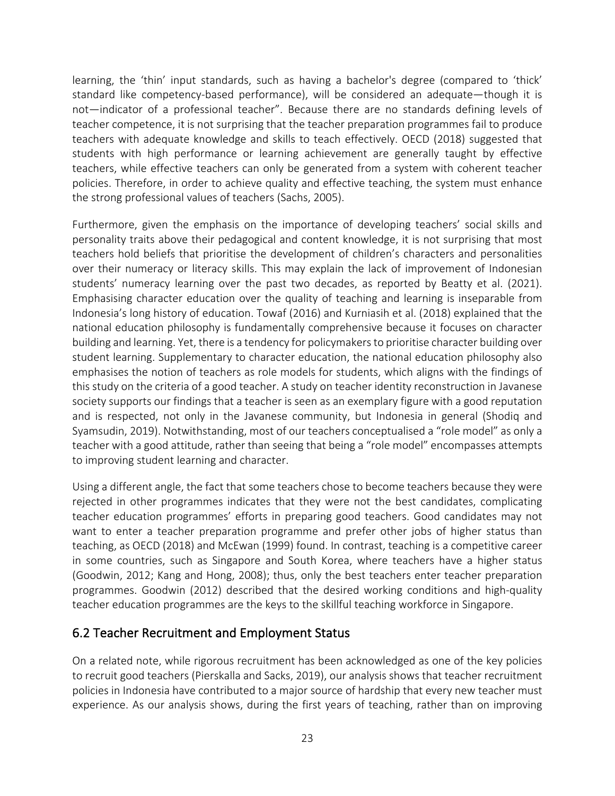learning, the 'thin' input standards, such as having a bachelor's degree (compared to 'thick' standard like competency-based performance), will be considered an adequate—though it is not—indicator of a professional teacher". Because there are no standards defining levels of teacher competence, it is not surprising that the teacher preparation programmes fail to produce students with high performance or learning achievement are generally taught by effective teachers, while effective teachers can only be generated from a system with coherent teacher policies. Therefore, in order to achieve quality and effective teaching, the system must enhance teachers with adequate knowledge and skills to teach effectively. OECD (2018) suggested that the strong professional values of teachers (Sachs, 2005).

 Furthermore, given the emphasis on the importance of developing teachers' social skills and teachers hold beliefs that prioritise the development of children's characters and personalities over their numeracy or literacy skills. This may explain the lack of improvement of Indonesian students' numeracy learning over the past two decades, as reported by Beatty et al. (2021). Emphasising character education over the quality of teaching and learning is inseparable from Indonesia's long history of education. Towaf (2016) and Kurniasih et al. (2018) explained that the national education philosophy is fundamentally comprehensive because it focuses on character building and learning. Yet, there is a tendency for policymakers to prioritise character building over student learning. Supplementary to character education, the national education philosophy also emphasises the notion of teachers as role models for students, which aligns with the findings of this study on the criteria of a good teacher. A study on teacher identity reconstruction in Javanese society supports our findings that a teacher is seen as an exemplary figure with a good reputation Syamsudin, 2019). Notwithstanding, most of our teachers conceptualised a "role model" as only a teacher with a good attitude, rather than seeing that being a "role model" encompasses attempts to improving student learning and character. personality traits above their pedagogical and content knowledge, it is not surprising that most and is respected, not only in the Javanese community, but Indonesia in general (Shodiq and

 Using a different angle, the fact that some teachers chose to become teachers because they were rejected in other programmes indicates that they were not the best candidates, complicating teacher education programmes' efforts in preparing good teachers. Good candidates may not want to enter a teacher preparation programme and prefer other jobs of higher status than teaching, as OECD (2018) and McEwan (1999) found. In contrast, teaching is a competitive career in some countries, such as Singapore and South Korea, where teachers have a higher status (Goodwin, 2012; Kang and Hong, 2008); thus, only the best teachers enter teacher preparation programmes. Goodwin (2012) described that the desired working conditions and high-quality teacher education programmes are the keys to the skillful teaching workforce in Singapore.

#### <span id="page-26-0"></span>6.2 Teacher Recruitment and Employment Status

 On a related note, while rigorous recruitment has been acknowledged as one of the key policies to recruit good teachers (Pierskalla and Sacks, 2019), our analysis shows that teacher recruitment policies in Indonesia have contributed to a major source of hardship that every new teacher must experience. As our analysis shows, during the first years of teaching, rather than on improving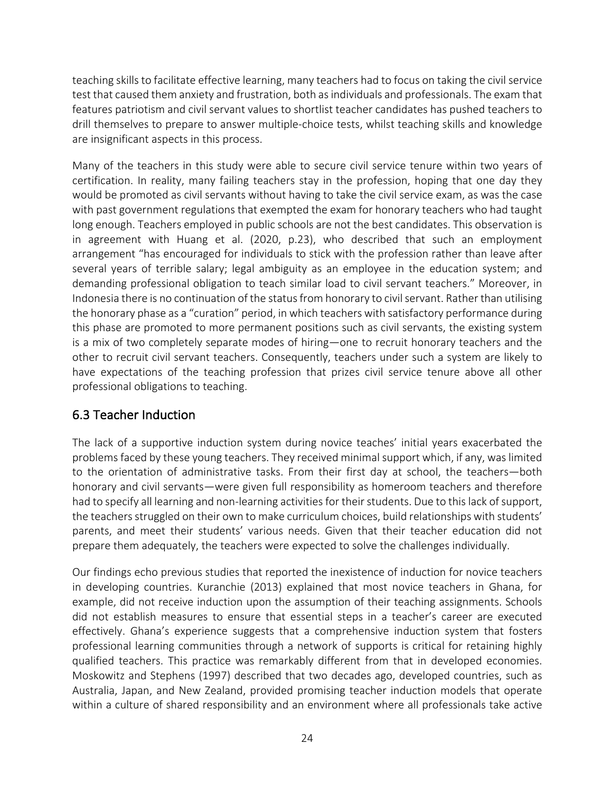teaching skills to facilitate effective learning, many teachers had to focus on taking the civil service test that caused them anxiety and frustration, both as individuals and professionals. The exam that drill themselves to prepare to answer multiple-choice tests, whilst teaching skills and knowledge features patriotism and civil servant values to shortlist teacher candidates has pushed teachers to are insignificant aspects in this process.

 certification. In reality, many failing teachers stay in the profession, hoping that one day they would be promoted as civil servants without having to take the civil service exam, as was the case with past government regulations that exempted the exam for honorary teachers who had taught long enough. Teachers employed in public schools are not the best candidates. This observation is in agreement with Huang et al. (2020, p.23), who described that such an employment arrangement "has encouraged for individuals to stick with the profession rather than leave after several years of terrible salary; legal ambiguity as an employee in the education system; and demanding professional obligation to teach similar load to civil servant teachers." Moreover, in Indonesia there is no continuation of the status from honorary to civil servant. Rather than utilising the honorary phase as a "curation" period, in which teachers with satisfactory performance during this phase are promoted to more permanent positions such as civil servants, the existing system is a mix of two completely separate modes of hiring—one to recruit honorary teachers and the other to recruit civil servant teachers. Consequently, teachers under such a system are likely to have expectations of the teaching profession that prizes civil service tenure above all other professional obligations to teaching. Many of the teachers in this study were able to secure civil service tenure within two years of

#### <span id="page-27-0"></span>6.3 Teacher Induction

 The lack of a supportive induction system during novice teaches' initial years exacerbated the problems faced by these young teachers. They received minimal support which, if any, was limited to the orientation of administrative tasks. From their first day at school, the teachers—both honorary and civil servants—were given full responsibility as homeroom teachers and therefore the teachers struggled on their own to make curriculum choices, build relationships with students' parents, and meet their students' various needs. Given that their teacher education did not prepare them adequately, the teachers were expected to solve the challenges individually. had to specify all learning and non-learning activities for their students. Due to this lack of support,

 Our findings echo previous studies that reported the inexistence of induction for novice teachers in developing countries. Kuranchie (2013) explained that most novice teachers in Ghana, for example, did not receive induction upon the assumption of their teaching assignments. Schools did not establish measures to ensure that essential steps in a teacher's career are executed effectively. Ghana's experience suggests that a comprehensive induction system that fosters professional learning communities through a network of supports is critical for retaining highly qualified teachers. This practice was remarkably different from that in developed economies. Moskowitz and Stephens (1997) described that two decades ago, developed countries, such as Australia, Japan, and New Zealand, provided promising teacher induction models that operate within a culture of shared responsibility and an environment where all professionals take active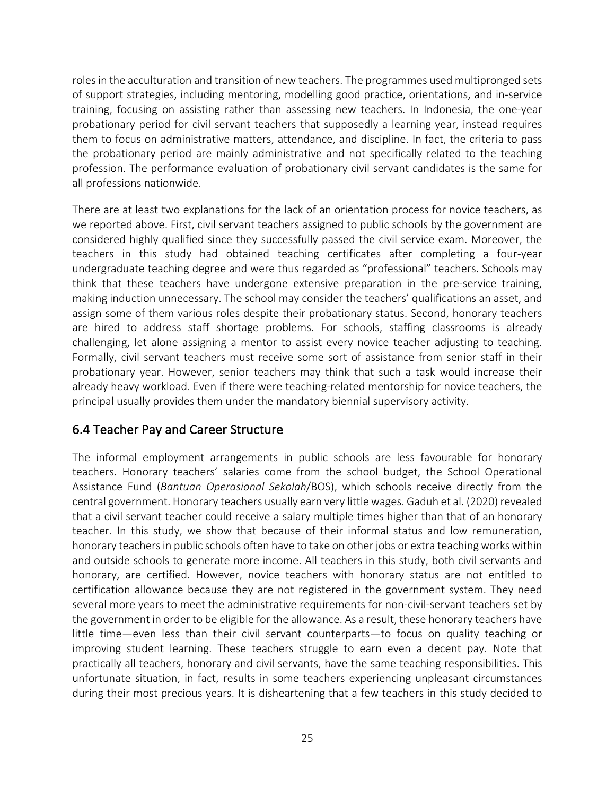roles in the acculturation and transition of new teachers. The programmes used multipronged sets of support strategies, including mentoring, modelling good practice, orientations, and in-service them to focus on administrative matters, attendance, and discipline. In fact, the criteria to pass the probationary period are mainly administrative and not specifically related to the teaching profession. The performance evaluation of probationary civil servant candidates is the same for training, focusing on assisting rather than assessing new teachers. In Indonesia, the one-year probationary period for civil servant teachers that supposedly a learning year, instead requires all professions nationwide.

 There are at least two explanations for the lack of an orientation process for novice teachers, as we reported above. First, civil servant teachers assigned to public schools by the government are considered highly qualified since they successfully passed the civil service exam. Moreover, the teachers in this study had obtained teaching certificates after completing a four-year undergraduate teaching degree and were thus regarded as "professional" teachers. Schools may think that these teachers have undergone extensive preparation in the pre-service training, making induction unnecessary. The school may consider the teachers' qualifications an asset, and assign some of them various roles despite their probationary status. Second, honorary teachers are hired to address staff shortage problems. For schools, staffing classrooms is already challenging, let alone assigning a mentor to assist every novice teacher adjusting to teaching. Formally, civil servant teachers must receive some sort of assistance from senior staff in their probationary year. However, senior teachers may think that such a task would increase their already heavy workload. Even if there were teaching-related mentorship for novice teachers, the principal usually provides them under the mandatory biennial supervisory activity.

#### <span id="page-28-0"></span>6.4 Teacher Pay and Career Structure

 The informal employment arrangements in public schools are less favourable for honorary teachers. Honorary teachers' salaries come from the school budget, the School Operational Assistance Fund (*Bantuan Operasional Sekolah*/BOS), which schools receive directly from the central government. Honorary teachers usually earn very little wages. Gaduh et al. (2020) revealed that a civil servant teacher could receive a salary multiple times higher than that of an honorary teacher. In this study, we show that because of their informal status and low remuneration, honorary teachers in public schools often have to take on other jobs or extra teaching works within and outside schools to generate more income. All teachers in this study, both civil servants and certification allowance because they are not registered in the government system. They need several more years to meet the administrative requirements for non-civil-servant teachers set by the government in order to be eligible for the allowance. As a result, these honorary teachers have little time—even less than their civil servant counterparts—to focus on quality teaching or practically all teachers, honorary and civil servants, have the same teaching responsibilities. This unfortunate situation, in fact, results in some teachers experiencing unpleasant circumstances during their most precious years. It is disheartening that a few teachers in this study decided to honorary, are certified. However, novice teachers with honorary status are not entitled to improving student learning. These teachers struggle to earn even a decent pay. Note that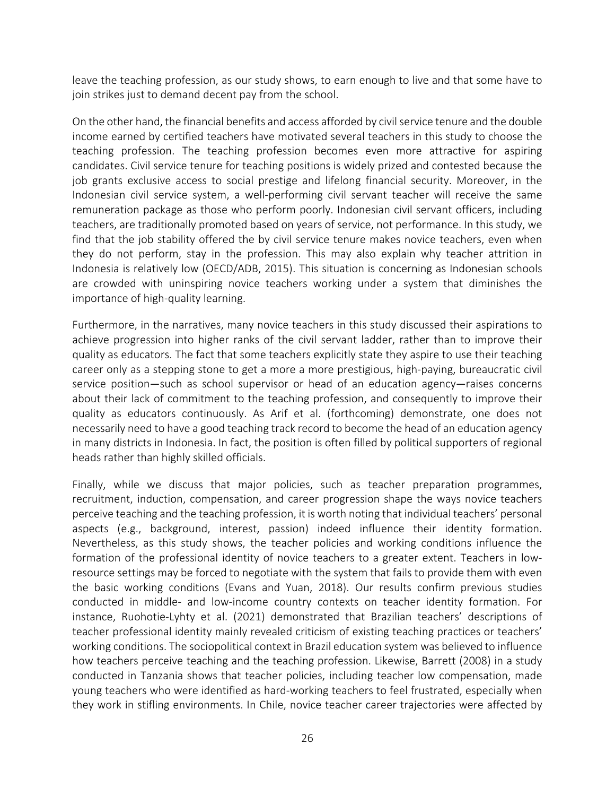leave the teaching profession, as our study shows, to earn enough to live and that some have to join strikes just to demand decent pay from the school.

 On the other hand, the financial benefits and access afforded by civil service tenure and the double income earned by certified teachers have motivated several teachers in this study to choose the teaching profession. The teaching profession becomes even more attractive for aspiring job grants exclusive access to social prestige and lifelong financial security. Moreover, in the Indonesian civil service system, a well-performing civil servant teacher will receive the same remuneration package as those who perform poorly. Indonesian civil servant officers, including teachers, are traditionally promoted based on years of service, not performance. In this study, we find that the job stability offered the by civil service tenure makes novice teachers, even when they do not perform, stay in the profession. This may also explain why teacher attrition in Indonesia is relatively low (OECD/ADB, 2015). This situation is concerning as Indonesian schools are crowded with uninspiring novice teachers working under a system that diminishes the importance of high-quality learning. candidates. Civil service tenure for teaching positions is widely prized and contested because the

 Furthermore, in the narratives, many novice teachers in this study discussed their aspirations to achieve progression into higher ranks of the civil servant ladder, rather than to improve their quality as educators. The fact that some teachers explicitly state they aspire to use their teaching career only as a stepping stone to get a more a more prestigious, high-paying, bureaucratic civil about their lack of commitment to the teaching profession, and consequently to improve their quality as educators continuously. As Arif et al. (forthcoming) demonstrate, one does not necessarily need to have a good teaching track record to become the head of an education agency in many districts in Indonesia. In fact, the position is often filled by political supporters of regional service position—such as school supervisor or head of an education agency—raises concerns heads rather than highly skilled officials.

 Finally, while we discuss that major policies, such as teacher preparation programmes, recruitment, induction, compensation, and career progression shape the ways novice teachers perceive teaching and the teaching profession, it is worth noting that individual teachers' personal Nevertheless, as this study shows, the teacher policies and working conditions influence the formation of the professional identity of novice teachers to a greater extent. Teachers in low- resource settings may be forced to negotiate with the system that fails to provide them with even the basic working conditions (Evans and Yuan, 2018). Our results confirm previous studies conducted in middle- and low-income country contexts on teacher identity formation. For instance, Ruohotie-Lyhty et al. (2021) demonstrated that Brazilian teachers' descriptions of teacher professional identity mainly revealed criticism of existing teaching practices or teachers' working conditions. The sociopolitical context in Brazil education system was believed to influence how teachers perceive teaching and the teaching profession. Likewise, Barrett (2008) in a study conducted in Tanzania shows that teacher policies, including teacher low compensation, made they work in stifling environments. In Chile, novice teacher career trajectories were affected by aspects (e.g., background, interest, passion) indeed influence their identity formation. young teachers who were identified as hard-working teachers to feel frustrated, especially when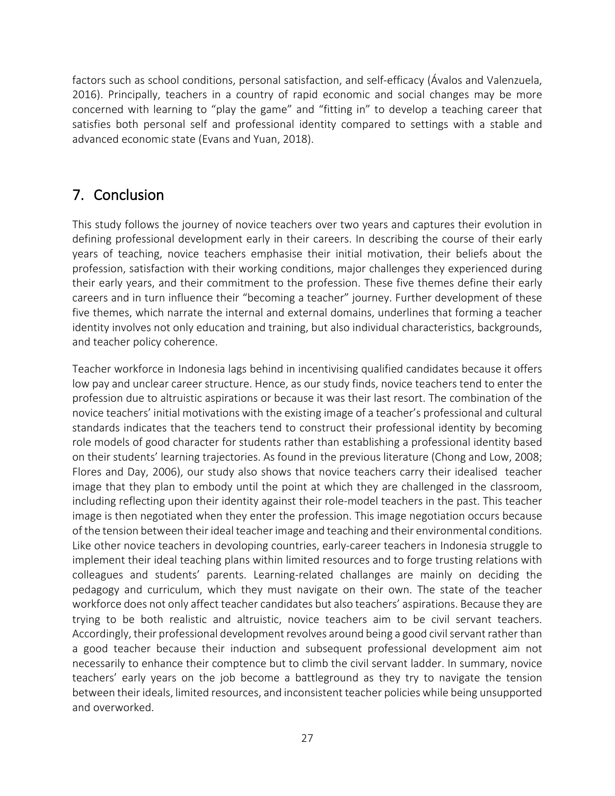factors such as school conditions, personal satisfaction, and self-efficacy (Ávalos and Valenzuela, 2016). Principally, teachers in a country of rapid economic and social changes may be more concerned with learning to "play the game" and "fitting in" to develop a teaching career that satisfies both personal self and professional identity compared to settings with a stable and advanced economic state (Evans and Yuan, 2018).

## <span id="page-30-0"></span>7. Conclusion

 This study follows the journey of novice teachers over two years and captures their evolution in defining professional development early in their careers. In describing the course of their early years of teaching, novice teachers emphasise their initial motivation, their beliefs about the profession, satisfaction with their working conditions, major challenges they experienced during their early years, and their commitment to the profession. These five themes define their early careers and in turn influence their "becoming a teacher" journey. Further development of these five themes, which narrate the internal and external domains, underlines that forming a teacher identity involves not only education and training, but also individual characteristics, backgrounds, and teacher policy coherence.

and teacher policy coherence.<br>Teacher workforce in Indonesia lags behind in incentivising qualified candidates because it offers low pay and unclear career structure. Hence, as our study finds, novice teachers tend to enter the profession due to altruistic aspirations or because it was their last resort. The combination of the novice teachers' initial motivations with the existing image of a teacher's professional and cultural standards indicates that the teachers tend to construct their professional identity by becoming role models of good character for students rather than establishing a professional identity based on their students' learning trajectories. As found in the previous literature (Chong and Low, 2008; Flores and Day, 2006), our study also shows that novice teachers carry their idealised teacher image that they plan to embody until the point at which they are challenged in the classroom, including reflecting upon their identity against their role-model teachers in the past. This teacher image is then negotiated when they enter the profession. This image negotiation occurs because of the tension between their ideal teacher image and teaching and their environmental conditions. Like other novice teachers in devoloping countries, early-career teachers in Indonesia struggle to implement their ideal teaching plans within limited resources and to forge trusting relations with colleagues and students' parents. Learning-related challanges are mainly on deciding the pedagogy and curriculum, which they must navigate on their own. The state of the teacher workforce does not only affect teacher candidates but also teachers' aspirations. Because they are trying to be both realistic and altruistic, novice teachers aim to be civil servant teachers. Accordingly, their professional development revolves around being a good civil servant rather than a good teacher because their induction and subsequent professional development aim not necessarily to enhance their comptence but to climb the civil servant ladder. In summary, novice teachers' early years on the job become a battleground as they try to navigate the tension between their ideals, limited resources, and inconsistent teacher policies while being unsupported and overworked.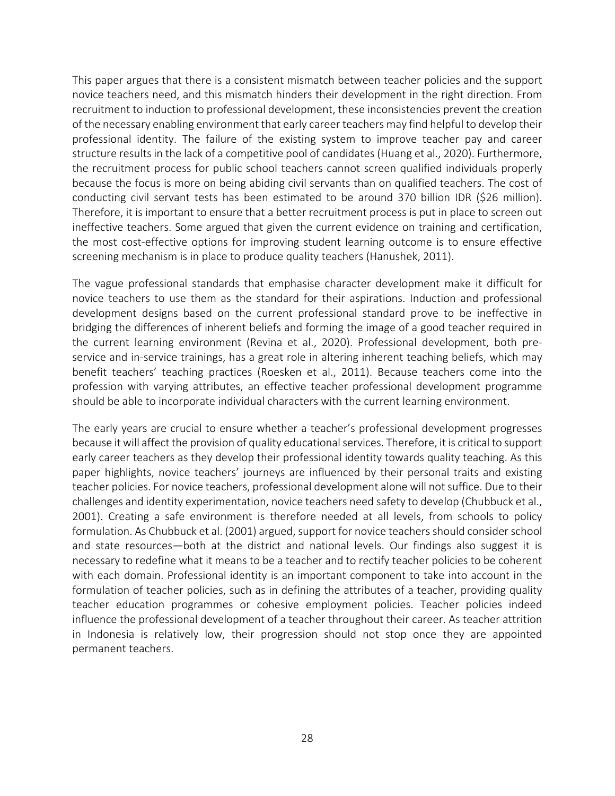This paper argues that there is a consistent mismatch between teacher policies and the support novice teachers need, and this mismatch hinders their development in the right direction. From recruitment to induction to professional development, these inconsistencies prevent the creation of the necessary enabling environment that early career teachers may find helpful to develop their professional identity. The failure of the existing system to improve teacher pay and career structure results in the lack of a competitive pool of candidates (Huang et al., 2020). Furthermore, the recruitment process for public school teachers cannot screen qualified individuals properly because the focus is more on being abiding civil servants than on qualified teachers. The cost of conducting civil servant tests has been estimated to be around 370 billion IDR (\$26 million). Therefore, it is important to ensure that a better recruitment process is put in place to screen out ineffective teachers. Some argued that given the current evidence on training and certification, the most cost-effective options for improving student learning outcome is to ensure effective screening mechanism is in place to produce quality teachers (Hanushek, 2011).

 The vague professional standards that emphasise character development make it difficult for novice teachers to use them as the standard for their aspirations. Induction and professional development designs based on the current professional standard prove to be ineffective in bridging the differences of inherent beliefs and forming the image of a good teacher required in the current learning environment (Revina et al., 2020). Professional development, both pre- service and in-service trainings, has a great role in altering inherent teaching beliefs, which may benefit teachers' teaching practices (Roesken et al., 2011). Because teachers come into the profession with varying attributes, an effective teacher professional development programme should be able to incorporate individual characters with the current learning environment.

 The early years are crucial to ensure whether a teacher's professional development progresses early career teachers as they develop their professional identity towards quality teaching. As this paper highlights, novice teachers' journeys are influenced by their personal traits and existing teacher policies. For novice teachers, professional development alone will not suffice. Due to their challenges and identity experimentation, novice teachers need safety to develop (Chubbuck et al., 2001). Creating a safe environment is therefore needed at all levels, from schools to policy formulation. As Chubbuck et al. (2001) argued, support for novice teachers should consider school and state resources—both at the district and national levels. Our findings also suggest it is necessary to redefine what it means to be a teacher and to rectify teacher policies to be coherent with each domain. Professional identity is an important component to take into account in the formulation of teacher policies, such as in defining the attributes of a teacher, providing quality teacher education programmes or cohesive employment policies. Teacher policies indeed influence the professional development of a teacher throughout their career. As teacher attrition permanent teachers. because it will affect the provision of quality educational services. Therefore, it is critical to support in Indonesia is relatively low, their progression should not stop once they are appointed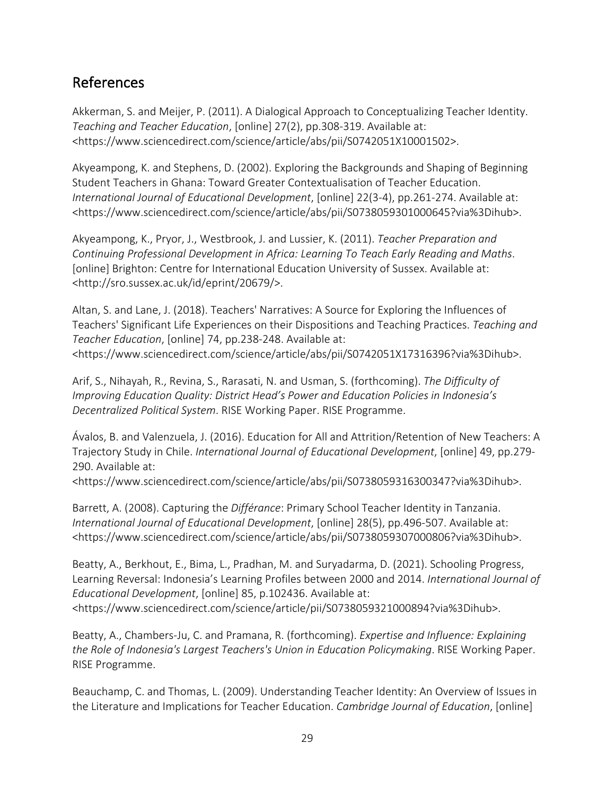# <span id="page-32-0"></span>References

 Akkerman, S. and Meijer, P. (2011). A Dialogical Approach to Conceptualizing Teacher Identity. *Teaching and Teacher Education*, [online] 27(2), pp.308-319. Available at: <<https://www.sciencedirect.com/science/article/abs/pii/S0742051X10001502>>.

 Akyeampong, K. and Stephens, D. (2002). Exploring the Backgrounds and Shaping of Beginning Student Teachers in Ghana: Toward Greater Contextualisation of Teacher Education. *International Journal of Educational Development*, [online] 22(3-4), pp.261-274. Available at: <[https://www.sciencedirect.com/science/article/abs/pii/S0738059301000645?via%3Dihub>](https://www.sciencedirect.com/science/article/abs/pii/S0738059301000645?via%3Dihub).

 Akyeampong, K., Pryor, J., Westbrook, J. and Lussier, K. (2011). *Teacher Preparation and Continuing Professional Development in Africa: Learning To Teach Early Reading and Maths*. [online] Brighton: Centre for International Education University of Sussex. Available at: <[http://sro.sussex.ac.uk/id/eprint/20679/](http://sro.sussex.ac.uk/id/eprint/20679)>.

 Altan, S. and Lane, J. (2018). Teachers' Narratives: A Source for Exploring the Influences of Teachers' Significant Life Experiences on their Dispositions and Teaching Practices. *Teaching and Teacher Education*, [online] 74, pp.238-248. Available at: <[https://www.sciencedirect.com/science/article/abs/pii/S0742051X17316396?via%3Dihub>](https://www.sciencedirect.com/science/article/abs/pii/S0742051X17316396?via%3Dihub).

 Arif, S., Nihayah, R., Revina, S., Rarasati, N. and Usman, S. (forthcoming). *The Difficulty of Decentralized Political System*. RISE Working Paper. RISE Programme. *Improving Education Quality: District Head's Power and Education Policies in Indonesia's* 

 Trajectory Study in Chile. *International Journal of Educational Development*, [online] 49, pp.279- Ávalos, B. and Valenzuela, J. (2016). Education for All and Attrition/Retention of New Teachers: A 290. Available at:

<[https://www.sciencedirect.com/science/article/abs/pii/S0738059316300347?via%3Dihub>](https://www.sciencedirect.com/science/article/abs/pii/S0738059316300347?via%3Dihub).

 Barrett, A. (2008). Capturing the *Différance*: Primary School Teacher Identity in Tanzania. *International Journal of Educational Development*, [online] 28(5), pp.496-507. Available at: <[https://www.sciencedirect.com/science/article/abs/pii/S0738059307000806?via%3Dihub>](https://www.sciencedirect.com/science/article/abs/pii/S0738059307000806?via%3Dihub).

 Beatty, A., Berkhout, E., Bima, L., Pradhan, M. and Suryadarma, D. (2021). Schooling Progress, Learning Reversal: Indonesia's Learning Profiles between 2000 and 2014. *International Journal of Educational Development*, [online] 85, p.102436. Available at: <[https://www.sciencedirect.com/science/article/pii/S0738059321000894?via%3Dihub>](https://www.sciencedirect.com/science/article/pii/S0738059321000894?via%3Dihub).

 Beatty, A., Chambers-Ju, C. and Pramana, R. (forthcoming). *Expertise and Influence: Explaining the Role of Indonesia's Largest Teachers's Union in Education Policymaking*. RISE Working Paper. RISE Programme.

 Beauchamp, C. and Thomas, L. (2009). Understanding Teacher Identity: An Overview of Issues in the Literature and Implications for Teacher Education. *Cambridge Journal of Education*, [online]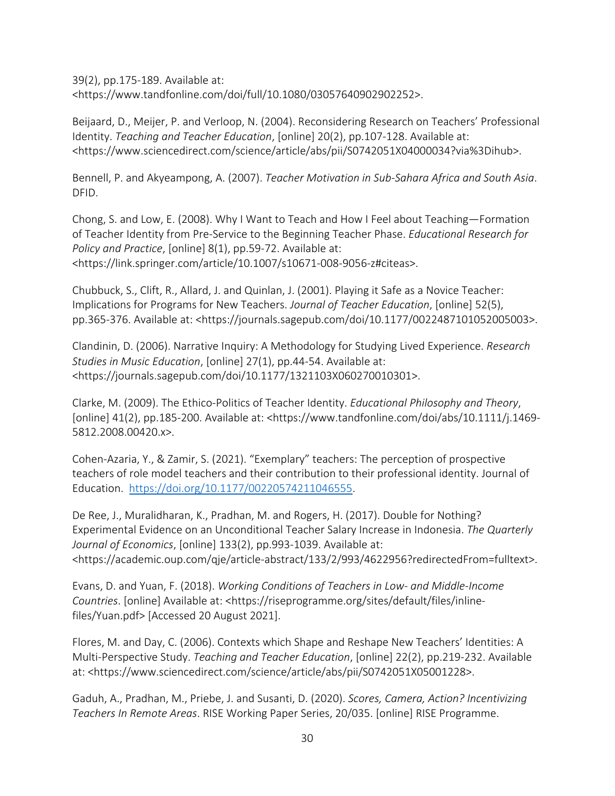39(2), pp.175-189. Available at: <[https://www.tandfonline.com/doi/full/10.1080/03057640902902252>](https://www.tandfonline.com/doi/full/10.1080/03057640902902252).

 Beijaard, D., Meijer, P. and Verloop, N. (2004). Reconsidering Research on Teachers' Professional Identity. *Teaching and Teacher Education*, [online] 20(2), pp.107-128. Available at: <[https://www.sciencedirect.com/science/article/abs/pii/S0742051X04000034?via%3Dihub>](https://www.sciencedirect.com/science/article/abs/pii/S0742051X04000034?via%3Dihub).

 Bennell, P. and Akyeampong, A. (2007). *Teacher Motivation in Sub-Sahara Africa and South Asia*. DFID.

 Chong, S. and Low, E. (2008). Why I Want to Teach and How I Feel about Teaching—Formation of Teacher Identity from Pre-Service to the Beginning Teacher Phase. *Educational Research for Policy and Practice*, [online] 8(1), pp.59-72. Available at: <[https://link.springer.com/article/10.1007/s10671-008-9056-z#citeas>](https://link.springer.com/article/10.1007/s10671-008-9056-z#citeas).

 Chubbuck, S., Clift, R., Allard, J. and Quinlan, J. (2001). Playing it Safe as a Novice Teacher: Implications for Programs for New Teachers. *Journal of Teacher Education*, [online] 52(5), pp.365-376. Available at: <[https://journals.sagepub.com/doi/10.1177/0022487101052005003>](https://journals.sagepub.com/doi/10.1177/0022487101052005003).

Clandinin, D. (2006). Narrative Inquiry: A Methodology for Studying Lived Experience. *Research Studies in Music Education*, [online] 27(1), pp.44-54. Available at: <[https://journals.sagepub.com/doi/10.1177/1321103X060270010301>](https://journals.sagepub.com/doi/10.1177/1321103X060270010301).

 [online] 41(2), pp.185-200. Available at: <<https://www.tandfonline.com/doi/abs/10.1111/j.1469>- Clarke, M. (2009). The Ethico-Politics of Teacher Identity. *Educational Philosophy and Theory*, 5812.2008.00420.x>.

 Cohen-Azaria, Y., & Zamir, S. (2021). "Exemplary" teachers: The perception of prospective teachers of role model teachers and their contribution to their professional identity. Journal of Education. <https://doi.org/10.1177/00220574211046555>.

 Experimental Evidence on an Unconditional Teacher Salary Increase in Indonesia. *The Quarterly*  De Ree, J., Muralidharan, K., Pradhan, M. and Rogers, H. (2017). Double for Nothing? *Journal of Economics*, [online] 133(2), pp.993-1039. Available at: <<https://academic.oup.com/qje/article-abstract/133/2/993/4622956?redirectedFrom=fulltext>>.

 Evans, D. and Yuan, F. (2018). *Working Conditions of Teachers in Low- and Middle-Income Countries*. [online] Available at: <<https://riseprogramme.org/sites/default/files/inline>files/Yuan.pdf> [Accessed 20 August 2021].

 Flores, M. and Day, C. (2006). Contexts which Shape and Reshape New Teachers' Identities: A Multi-Perspective Study. *Teaching and Teacher Education*, [online] 22(2), pp.219-232. Available at: [<https://www.sciencedirect.com/science/article/abs/pii/S0742051X05001228>](https://www.sciencedirect.com/science/article/abs/pii/S0742051X05001228).

 *Teachers In Remote Areas*. RISE Working Paper Series, 20/035. [online] RISE Programme. Gaduh, A., Pradhan, M., Priebe, J. and Susanti, D. (2020). *Scores, Camera, Action? Incentivizing*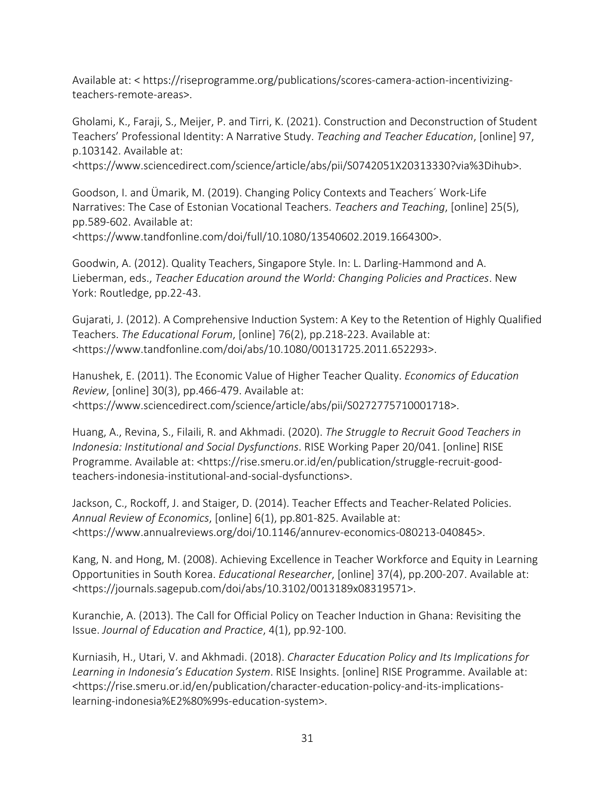Available at: <<https://riseprogramme.org/publications/scores-camera-action-incentivizing>teachers-remote-areas>.

 Gholami, K., Faraji, S., Meijer, P. and Tirri, K. (2021). Construction and Deconstruction of Student Teachers' Professional Identity: A Narrative Study. *Teaching and Teacher Education*, [online] 97, p.103142. Available at:

<[https://www.sciencedirect.com/science/article/abs/pii/S0742051X20313330?via%3Dihub>](https://www.sciencedirect.com/science/article/abs/pii/S0742051X20313330?via%3Dihub).

 Goodson, I. and Ümarik, M. (2019). Changing Policy Contexts and Teachers´ Work-Life Narratives: The Case of Estonian Vocational Teachers. *Teachers and Teaching*, [online] 25(5), pp.589-602. Available at: <[https://www.tandfonline.com/doi/full/10.1080/13540602.2019.1664300>](https://www.tandfonline.com/doi/full/10.1080/13540602.2019.1664300).

 Goodwin, A. (2012). Quality Teachers, Singapore Style. In: L. Darling-Hammond and A. Lieberman, eds., *Teacher Education around the World: Changing Policies and Practices*. New York: Routledge, pp.22-43.

 Gujarati, J. (2012). A Comprehensive Induction System: A Key to the Retention of Highly Qualified  Teachers. *The Educational Forum*, [online] 76(2), pp.218-223. Available at: <<https://www.tandfonline.com/doi/abs/10.1080/00131725.2011.652293>>.

 Hanushek, E. (2011). The Economic Value of Higher Teacher Quality. *Economics of Education Review*, [online] 30(3), pp.466-479. Available at: <<https://www.sciencedirect.com/science/article/abs/pii/S0272775710001718>>.

 Huang, A., Revina, S., Filaili, R. and Akhmadi. (2020). *The Struggle to Recruit Good Teachers in*  Programme. Available at: [<https://rise.smeru.or.id/en/publication/struggle-recruit-good](https://rise.smeru.or.id/en/publication/struggle-recruit-good)-*Indonesia: Institutional and Social Dysfunctions*. RISE Working Paper 20/041. [online] RISE teachers-indonesia-institutional-and-social-dysfunctions>.

Jackson, C., Rockoff, J. and Staiger, D. (2014). Teacher Effects and Teacher-Related Policies. *Annual Review of Economics*, [online] 6(1), pp.801-825. Available at: <<https://www.annualreviews.org/doi/10.1146/annurev-economics-080213-040845>>.

Kang, N. and Hong, M. (2008). Achieving Excellence in Teacher Workforce and Equity in Learning Opportunities in South Korea. *Educational Researcher*, [online] 37(4), pp.200-207. Available at: <<https://journals.sagepub.com/doi/abs/10.3102/0013189x08319571>>.

Kuranchie, A. (2013). The Call for Official Policy on Teacher Induction in Ghana: Revisiting the Issue. *Journal of Education and Practice*, 4(1), pp.92-100.

 Kurniasih, H., Utari, V. and Akhmadi. (2018). *Character Education Policy and Its Implications for Learning in Indonesia's Education System*. RISE Insights. [online] RISE Programme. Available at: <<https://rise.smeru.or.id/en/publication/character-education-policy-and-its-implications>learning-indonesia%E2%80%99s-education-system>.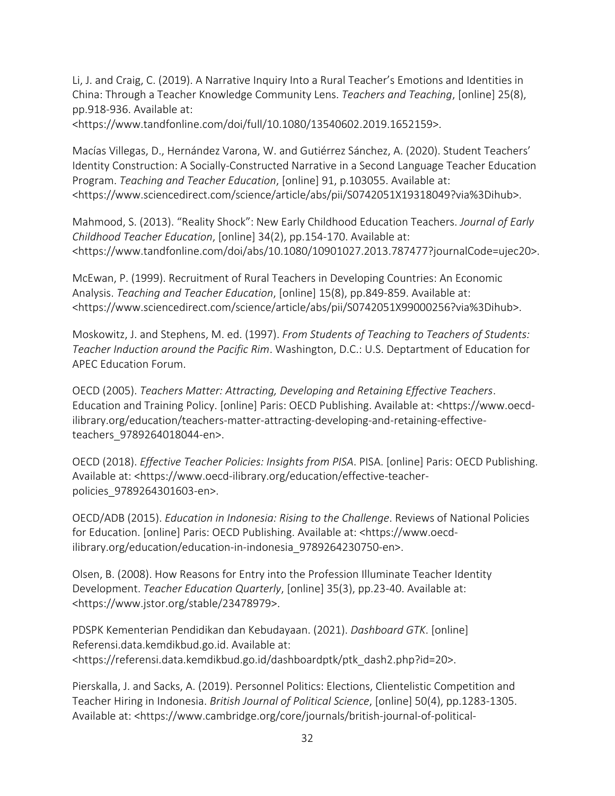Li, J. and Craig, C. (2019). A Narrative Inquiry Into a Rural Teacher's Emotions and Identities in China: Through a Teacher Knowledge Community Lens. *Teachers and Teaching*, [online] 25(8), pp.918-936. Available at:

<[https://www.tandfonline.com/doi/full/10.1080/13540602.2019.1652159>](https://www.tandfonline.com/doi/full/10.1080/13540602.2019.1652159).

Macías Villegas, D., Hernández Varona, W. and Gutiérrez Sánchez, A. (2020). Student Teachers' Identity Construction: A Socially-Constructed Narrative in a Second Language Teacher Education Program. *Teaching and Teacher Education*, [online] 91, p.103055. Available at: <[https://www.sciencedirect.com/science/article/abs/pii/S0742051X19318049?via%3Dihub>](https://www.sciencedirect.com/science/article/abs/pii/S0742051X19318049?via%3Dihub).

 Mahmood, S. (2013). "Reality Shock": New Early Childhood Education Teachers. *Journal of Early Childhood Teacher Education*, [online] 34(2), pp.154-170. Available at: <[https://www.tandfonline.com/doi/abs/10.1080/10901027.2013.787477?journalCode=ujec20>](https://www.tandfonline.com/doi/abs/10.1080/10901027.2013.787477?journalCode=ujec20).

 McEwan, P. (1999). Recruitment of Rural Teachers in Developing Countries: An Economic Analysis. *Teaching and Teacher Education*, [online] 15(8), pp.849-859. Available at: <[https://www.sciencedirect.com/science/article/abs/pii/S0742051X99000256?via%3Dihub>](https://www.sciencedirect.com/science/article/abs/pii/S0742051X99000256?via%3Dihub).

 Moskowitz, J. and Stephens, M. ed. (1997). *From Students of Teaching to Teachers of Students: Teacher Induction around the Pacific Rim*. Washington, D.C.: U.S. Deptartment of Education for APEC Education Forum.

 Education and Training Policy. [online] Paris: OECD Publishing. Available at: <<https://www.oecd>-OECD (2005). *Teachers Matter: Attracting, Developing and Retaining Effective Teachers*. [ilibrary.org/education/teachers-matter-attracting-developing-and-retaining-effective](https://ilibrary.org/education/teachers-matter-attracting-developing-and-retaining-effective)teachers\_9789264018044-en>.

 Available at: <<https://www.oecd-ilibrary.org/education/effective-teacher>-OECD (2018). *Effective Teacher Policies: Insights from PISA*. PISA. [online] Paris: OECD Publishing. policies\_9789264301603-en>.

 for Education. [online] Paris: OECD Publishing. Available at: [<https://www.oecd](https://www.oecd)-OECD/ADB (2015). *Education in Indonesia: Rising to the Challenge*. Reviews of National Policies [ilibrary.org/education/education-in-indonesia\\_9789264230750-en](https://ilibrary.org/education/education-in-indonesia_9789264230750-en)>.

 Olsen, B. (2008). How Reasons for Entry into the Profession Illuminate Teacher Identity Development. *Teacher Education Quarterly*, [online] 35(3), pp.23-40. Available at: <<https://www.jstor.org/stable/23478979>>.

 [Referensi.data.kemdikbud.go.id.](https://Referensi.data.kemdikbud.go.id) Available at: PDSPK Kementerian Pendidikan dan Kebudayaan. (2021). *Dashboard GTK*. [online] <[https://referensi.data.kemdikbud.go.id/dashboardptk/ptk\\_dash2.php?id=20](https://referensi.data.kemdikbud.go.id/dashboardptk/ptk_dash2.php?id=20)>.

 Pierskalla, J. and Sacks, A. (2019). Personnel Politics: Elections, Clientelistic Competition and Available at: <[https://www.cambridge.org/core/journals/british-journal-of-political-](https://www.cambridge.org/core/journals/british-journal-of-political)Teacher Hiring in Indonesia. *British Journal of Political Science*, [online] 50(4), pp.1283-1305.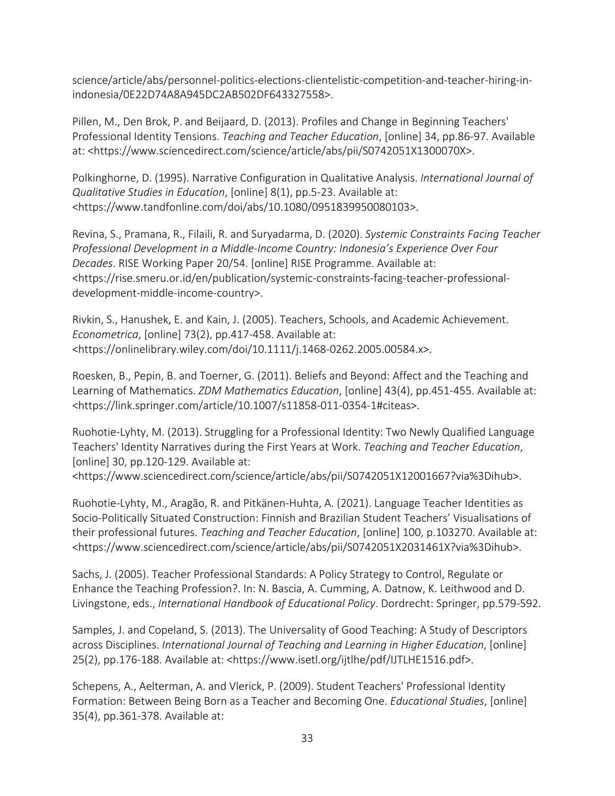science/article/abs/personnel-politics-elections-clientelistic-competition-and-teacher-hiring-inindonesia/0E22D74A8A945DC2AB502DF643327558>.

 Pillen, M., Den Brok, P. and Beijaard, D. (2013). Profiles and Change in Beginning Teachers' Professional Identity Tensions. *Teaching and Teacher Education*, [online] 34, pp.86-97. Available at: [<https://www.sciencedirect.com/science/article/abs/pii/S0742051X1300070X>](https://www.sciencedirect.com/science/article/abs/pii/S0742051X1300070X).

 Polkinghorne, D. (1995). Narrative Configuration in Qualitative Analysis. *International Journal of Qualitative Studies in Education*, [online] 8(1), pp.5-23. Available at: <<https://www.tandfonline.com/doi/abs/10.1080/0951839950080103>>.

 Revina, S., Pramana, R., Filaili, R. and Suryadarma, D. (2020). *Systemic Constraints Facing Teacher Professional Development in a Middle-Income Country: Indonesia's Experience Over Four Decades*. RISE Working Paper 20/54. [online] RISE Programme. Available at: <<https://rise.smeru.or.id/en/publication/systemic-constraints-facing-teacher-professional>development-middle-income-country>.

 Rivkin, S., Hanushek, E. and Kain, J. (2005). Teachers, Schools, and Academic Achievement. *Econometrica*, [online] 73(2), pp.417-458. Available at: <<https://onlinelibrary.wiley.com/doi/10.1111/j.1468-0262.2005.00584.x>>.

 Learning of Mathematics. *ZDM Mathematics Education*, [online] 43(4), pp.451-455. Available at: Roesken, B., Pepin, B. and Toerner, G. (2011). Beliefs and Beyond: Affect and the Teaching and <<https://link.springer.com/article/10.1007/s11858-011-0354-1#citeas>>.

 Ruohotie-Lyhty, M. (2013). Struggling for a Professional Identity: Two Newly Qualified Language Teachers' Identity Narratives during the First Years at Work. *Teaching and Teacher Education*, [online] 30, pp.120-129. Available at:

<[https://www.sciencedirect.com/science/article/abs/pii/S0742051X12001667?via%3Dihub>](https://www.sciencedirect.com/science/article/abs/pii/S0742051X12001667?via%3Dihub).

 Socio-Politically Situated Construction: Finnish and Brazilian Student Teachers' Visualisations of Ruohotie-Lyhty, M., Aragão, R. and Pitkänen-Huhta, A. (2021). Language Teacher Identities as their professional futures. *Teaching and Teacher Education*, [online] 100, p.103270. Available at: <[https://www.sciencedirect.com/science/article/abs/pii/S0742051X2031461X?via%3Dihub>](https://www.sciencedirect.com/science/article/abs/pii/S0742051X2031461X?via%3Dihub).

 Enhance the Teaching Profession?. In: N. Bascia, A. Cumming, A. Datnow, K. Leithwood and D. Sachs, J. (2005). Teacher Professional Standards: A Policy Strategy to Control, Regulate or Livingstone, eds., *International Handbook of Educational Policy*. Dordrecht: Springer, pp.579-592.

 Samples, J. and Copeland, S. (2013). The Universality of Good Teaching: A Study of Descriptors 25(2), pp.176-188. Available at: <<https://www.isetl.org/ijtlhe/pdf/IJTLHE1516.pdf>>. across Disciplines. *International Journal of Teaching and Learning in Higher Education*, [online]

 Schepens, A., Aelterman, A. and Vlerick, P. (2009). Student Teachers' Professional Identity Formation: Between Being Born as a Teacher and Becoming One. *Educational Studies*, [online] 35(4), pp.361-378. Available at: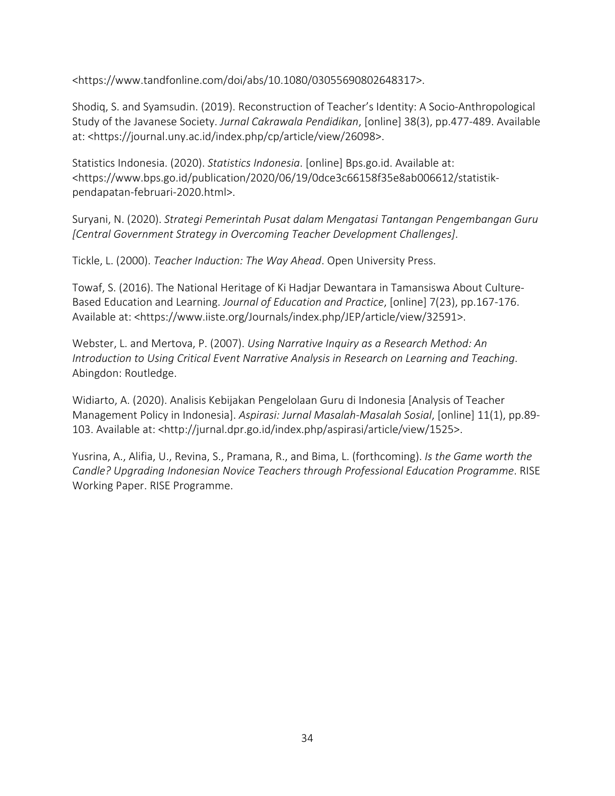<<https://www.tandfonline.com/doi/abs/10.1080/03055690802648317>>.

 Shodiq, S. and Syamsudin. (2019). Reconstruction of Teacher's Identity: A Socio-Anthropological Study of the Javanese Society. *Jurnal Cakrawala Pendidikan*, [online] 38(3), pp.477-489. Available at: [<https://journal.uny.ac.id/index.php/cp/article/view/26098>](https://journal.uny.ac.id/index.php/cp/article/view/26098).

Statistics Indonesia. (2020). *Statistics Indonesia*. [online] [Bps.go.id](https://Bps.go.id). Available at: <<https://www.bps.go.id/publication/2020/06/19/0dce3c66158f35e8ab006612/statistik>pendapatan-februari-2020.html>.

 *[Central Government Strategy in Overcoming Teacher Development Challenges]*. Suryani, N. (2020). *Strategi Pemerintah Pusat dalam Mengatasi Tantangan Pengembangan Guru* 

Tickle, L. (2000). *Teacher Induction: The Way Ahead*. Open University Press.

 Towaf, S. (2016). The National Heritage of Ki Hadjar Dewantara in Tamansiswa About Culture- Available at: <<https://www.iiste.org/Journals/index.php/JEP/article/view/32591>>. Based Education and Learning. *Journal of Education and Practice*, [online] 7(23), pp.167-176.

Webster, L. and Mertova, P. (2007). *Using Narrative Inquiry as a Research Method: An Introduction to Using Critical Event Narrative Analysis in Research on Learning and Teaching*. Abingdon: Routledge.

 Widiarto, A. (2020). Analisis Kebijakan Pengelolaan Guru di Indonesia [Analysis of Teacher Management Policy in Indonesia]. *Aspirasi: Jurnal Masalah-Masalah Sosial*, [online] 11(1), pp.89- 103. Available at: [<http://jurnal.dpr.go.id/index.php/aspirasi/article/view/1525>](http://jurnal.dpr.go.id/index.php/aspirasi/article/view/1525).

 Yusrina, A., Alifia, U., Revina, S., Pramana, R., and Bima, L. (forthcoming). *Is the Game worth the*  Working Paper. RISE Programme. *Candle? Upgrading Indonesian Novice Teachers through Professional Education Programme*. RISE